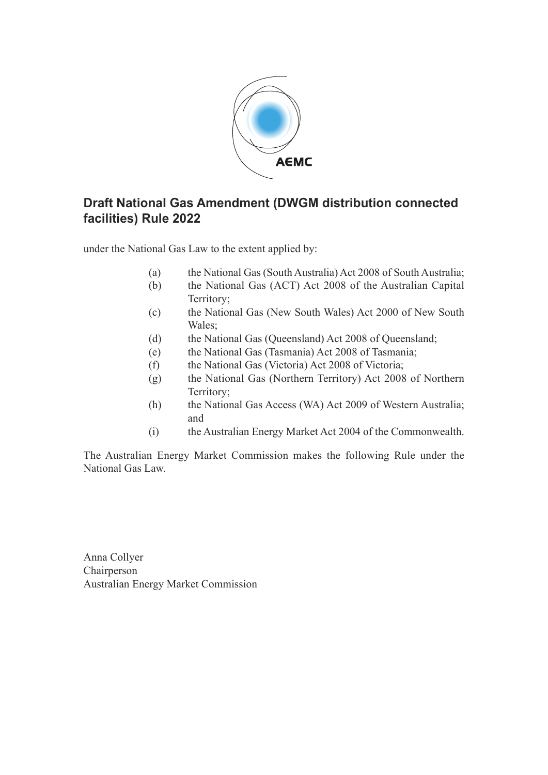

### **Draft National Gas Amendment (DWGM distribution connected facilities) Rule 2022**

under the National Gas Law to the extent applied by:

- (a) the National Gas (South Australia) Act 2008 of South Australia;
- (b) the National Gas (ACT) Act 2008 of the Australian Capital Territory;
- (c) the National Gas (New South Wales) Act 2000 of New South Wales;
- (d) the National Gas (Queensland) Act 2008 of Queensland;
- (e) the National Gas (Tasmania) Act 2008 of Tasmania;
- (f) the National Gas (Victoria) Act 2008 of Victoria;
- (g) the National Gas (Northern Territory) Act 2008 of Northern Territory;
- (h) the National Gas Access (WA) Act 2009 of Western Australia; and
- (i) the Australian Energy Market Act 2004 of the Commonwealth.

The Australian Energy Market Commission makes the following Rule under the National Gas Law.

Anna Collyer Chairperson Australian Energy Market Commission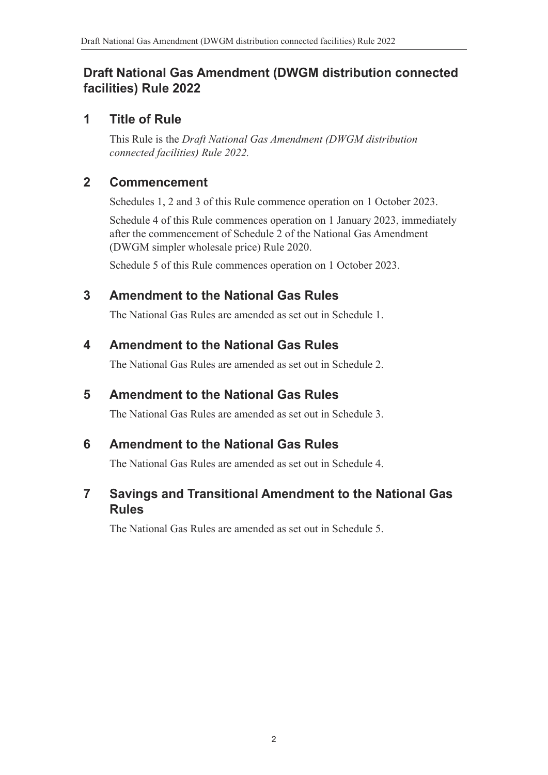### **Draft National Gas Amendment (DWGM distribution connected facilities) Rule 2022**

### **1 Title of Rule**

This Rule is the *Draft National Gas Amendment (DWGM distribution connected facilities) Rule 2022.* 

# **2 Commencement**

Schedules 1, 2 and 3 of this Rule commence operation on 1 October 2023.

Schedule 4 of this Rule commences operation on 1 January 2023, immediately after the commencement of Schedule 2 of the National Gas Amendment (DWGM simpler wholesale price) Rule 2020.

Schedule 5 of this Rule commences operation on 1 October 2023.

# **3 Amendment to the National Gas Rules**

<span id="page-1-0"></span>The National Gas Rules are amended as set out in [Schedule 1.](#page-2-0) 

# **4 Amendment to the National Gas Rules**

<span id="page-1-1"></span>The National Gas Rules are amended as set out in [Schedule 2.](#page-4-0) 

### **5 Amendment to the National Gas Rules**

<span id="page-1-2"></span>The National Gas Rules are amended as set out in [Schedule 3.](#page-5-0) 

# **6 Amendment to the National Gas Rules**

<span id="page-1-3"></span>The National Gas Rules are amended as set out in [Schedule 4.](#page-40-0) 

### **7 Savings and Transitional Amendment to the National Gas Rules**

<span id="page-1-4"></span>The National Gas Rules are amended as set out in [Schedule 5.](#page-41-0)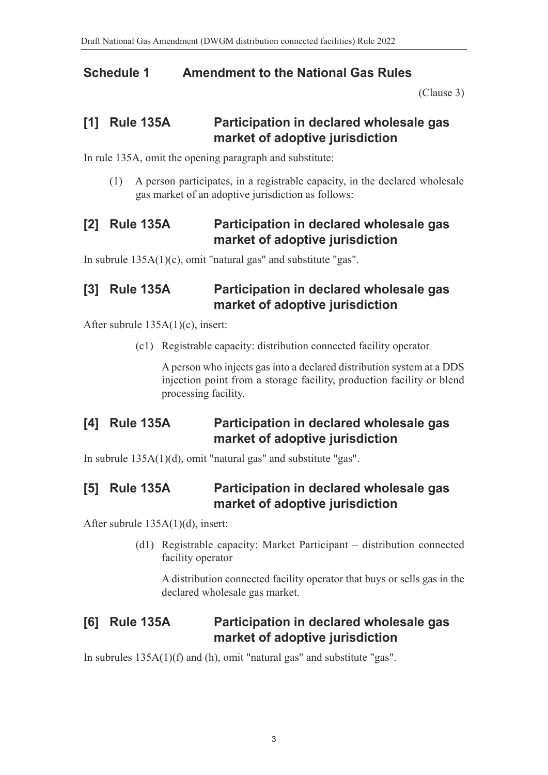### **Schedule 1 Amendment to the National Gas Rules**

<span id="page-2-0"></span>[\(Clause 3\)](#page-1-0) 

### **[1] Rule 135A Participation in declared wholesale gas market of adoptive jurisdiction**

In rule 135A, omit the opening paragraph and substitute:

(1) A person participates, in a registrable capacity, in the declared wholesale gas market of an adoptive jurisdiction as follows:

### **[2] Rule 135A Participation in declared wholesale gas market of adoptive jurisdiction**

In subrule 135A(1)(c), omit "natural gas" and substitute "gas".

### **[3] Rule 135A Participation in declared wholesale gas market of adoptive jurisdiction**

After subrule 135A(1)(c), insert:

(c1) Registrable capacity: distribution connected facility operator

A person who injects gas into a declared distribution system at a DDS injection point from a storage facility, production facility or blend processing facility.

### **[4] Rule 135A Participation in declared wholesale gas market of adoptive jurisdiction**

In subrule 135A(1)(d), omit "natural gas" and substitute "gas".

### **[5] Rule 135A Participation in declared wholesale gas market of adoptive jurisdiction**

After subrule 135A(1)(d), insert:

(d1) Registrable capacity: Market Participant – distribution connected facility operator

A distribution connected facility operator that buys or sells gas in the declared wholesale gas market.

### **[6] Rule 135A Participation in declared wholesale gas market of adoptive jurisdiction**

In subrules 135A(1)(f) and (h), omit "natural gas" and substitute "gas".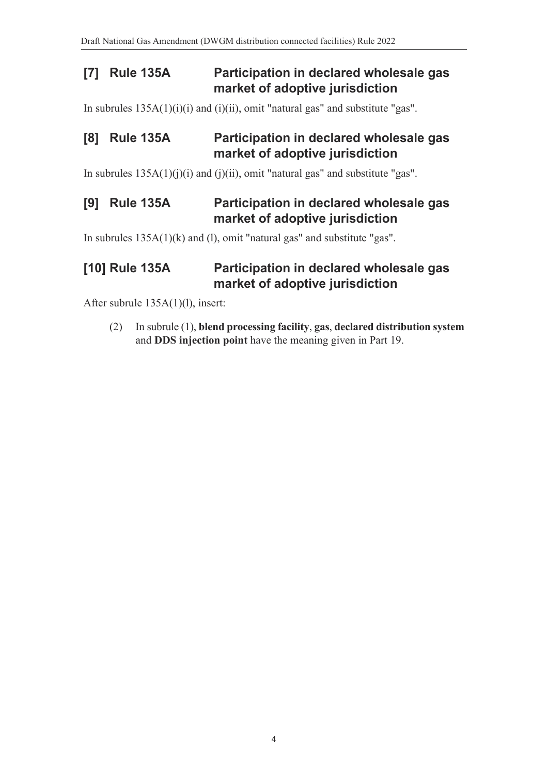### **[7] Rule 135A Participation in declared wholesale gas market of adoptive jurisdiction**

In subrules  $135A(1)(i)(i)$  and  $(i)(ii)$ , omit "natural gas" and substitute "gas".

### **[8] Rule 135A Participation in declared wholesale gas market of adoptive jurisdiction**

In subrules  $135A(1)(j)(i)$  and  $(j)(ii)$ , omit "natural gas" and substitute "gas".

### **[9] Rule 135A Participation in declared wholesale gas market of adoptive jurisdiction**

In subrules 135A(1)(k) and (l), omit "natural gas" and substitute "gas".

### **[10] Rule 135A Participation in declared wholesale gas market of adoptive jurisdiction**

After subrule 135A(1)(l), insert:

(2) In subrule (1), **blend processing facility**, **gas**, **declared distribution system** and **DDS injection point** have the meaning given in Part 19.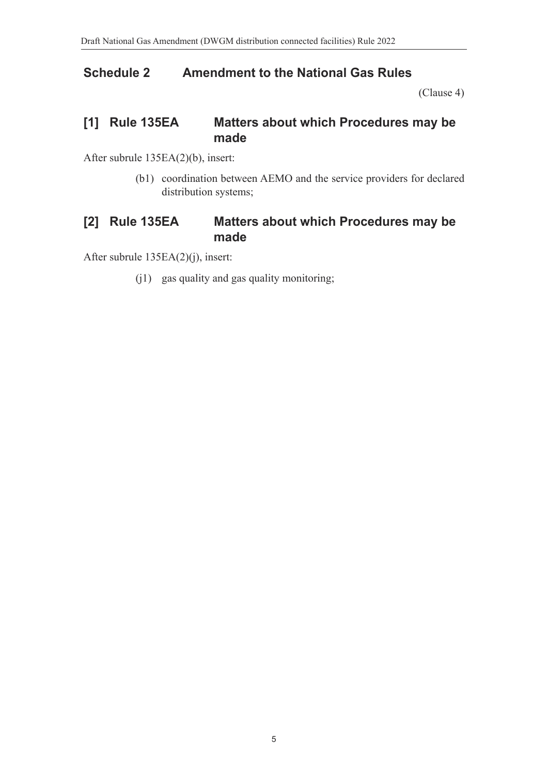### **Schedule 2 Amendment to the National Gas Rules**

<span id="page-4-0"></span>[\(Clause 4\)](#page-1-1) 

### **[1] Rule 135EA Matters about which Procedures may be made**

After subrule 135EA(2)(b), insert:

(b1) coordination between AEMO and the service providers for declared distribution systems;

### **[2] Rule 135EA Matters about which Procedures may be made**

After subrule 135EA(2)(j), insert:

(j1) gas quality and gas quality monitoring;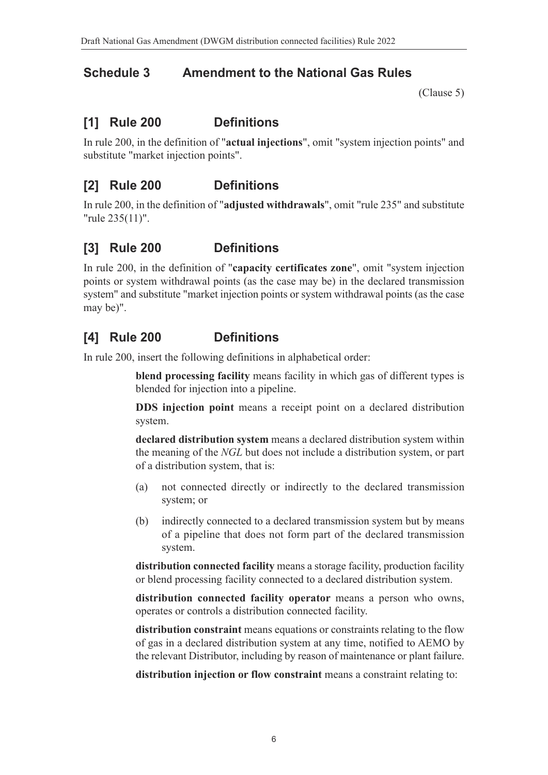# **Schedule 3 Amendment to the National Gas Rules**

<span id="page-5-0"></span>[\(Clause 5\)](#page-1-2) 

### **[1] Rule 200 Definitions**

In rule 200, in the definition of "**actual injections**", omit "system injection points" and substitute "market injection points".

### **[2] Rule 200 Definitions**

In rule 200, in the definition of "**adjusted withdrawals**", omit "rule 235" and substitute "rule 235(11)".

# **[3] Rule 200 Definitions**

In rule 200, in the definition of "**capacity certificates zone**", omit "system injection points or system withdrawal points (as the case may be) in the declared transmission system" and substitute "market injection points or system withdrawal points (as the case may be)".

# **[4] Rule 200 Definitions**

In rule 200, insert the following definitions in alphabetical order:

**blend processing facility** means facility in which gas of different types is blended for injection into a pipeline.

**DDS injection point** means a receipt point on a declared distribution system.

**declared distribution system** means a declared distribution system within the meaning of the *NGL* but does not include a distribution system, or part of a distribution system, that is:

- (a) not connected directly or indirectly to the declared transmission system; or
- (b) indirectly connected to a declared transmission system but by means of a pipeline that does not form part of the declared transmission system.

**distribution connected facility** means a storage facility, production facility or blend processing facility connected to a declared distribution system.

**distribution connected facility operator** means a person who owns, operates or controls a distribution connected facility.

**distribution constraint** means equations or constraints relating to the flow of gas in a declared distribution system at any time, notified to AEMO by the relevant Distributor, including by reason of maintenance or plant failure.

**distribution injection or flow constraint** means a constraint relating to: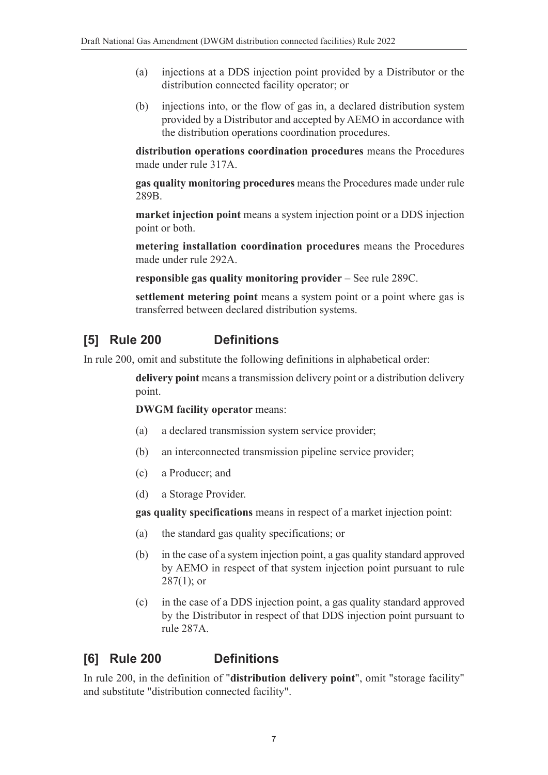- (a) injections at a DDS injection point provided by a Distributor or the distribution connected facility operator; or
- (b) injections into, or the flow of gas in, a declared distribution system provided by a Distributor and accepted by AEMO in accordance with the distribution operations coordination procedures.

**distribution operations coordination procedures** means the Procedures made under rule 317A.

**gas quality monitoring procedures** means the Procedures made under rule 289B.

**market injection point** means a system injection point or a DDS injection point or both.

**metering installation coordination procedures** means the Procedures made under rule 292A.

**responsible gas quality monitoring provider** – See rule 289C.

**settlement metering point** means a system point or a point where gas is transferred between declared distribution systems.

# **[5] Rule 200 Definitions**

In rule 200, omit and substitute the following definitions in alphabetical order:

**delivery point** means a transmission delivery point or a distribution delivery point.

**DWGM facility operator** means:

- (a) a declared transmission system service provider;
- (b) an interconnected transmission pipeline service provider;
- (c) a Producer; and
- (d) a Storage Provider.

**gas quality specifications** means in respect of a market injection point:

- (a) the standard gas quality specifications; or
- (b) in the case of a system injection point, a gas quality standard approved by AEMO in respect of that system injection point pursuant to rule  $287(1)$ ; or
- (c) in the case of a DDS injection point, a gas quality standard approved by the Distributor in respect of that DDS injection point pursuant to rule 287A.

### **[6] Rule 200 Definitions**

In rule 200, in the definition of "**distribution delivery point**", omit "storage facility" and substitute "distribution connected facility".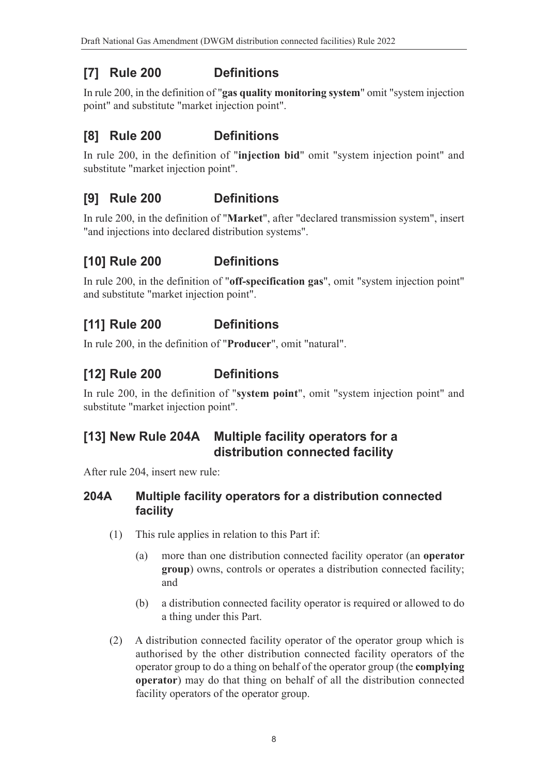# **[7] Rule 200 Definitions**

In rule 200, in the definition of "**gas quality monitoring system**" omit "system injection point" and substitute "market injection point".

### **[8] Rule 200 Definitions**

In rule 200, in the definition of "**injection bid**" omit "system injection point" and substitute "market injection point".

# **[9] Rule 200 Definitions**

In rule 200, in the definition of "**Market**", after "declared transmission system", insert "and injections into declared distribution systems".

# **[10] Rule 200 Definitions**

In rule 200, in the definition of "**off-specification gas**", omit "system injection point" and substitute "market injection point".

# **[11] Rule 200 Definitions**

In rule 200, in the definition of "**Producer**", omit "natural".

# **[12] Rule 200 Definitions**

In rule 200, in the definition of "**system point**", omit "system injection point" and substitute "market injection point".

# **[13] New Rule 204A Multiple facility operators for a distribution connected facility**

After rule 204, insert new rule:

### **204A Multiple facility operators for a distribution connected facility**

- (1) This rule applies in relation to this Part if:
	- (a) more than one distribution connected facility operator (an **operator group**) owns, controls or operates a distribution connected facility; and
	- (b) a distribution connected facility operator is required or allowed to do a thing under this Part.
- (2) A distribution connected facility operator of the operator group which is authorised by the other distribution connected facility operators of the operator group to do a thing on behalf of the operator group (the **complying operator**) may do that thing on behalf of all the distribution connected facility operators of the operator group.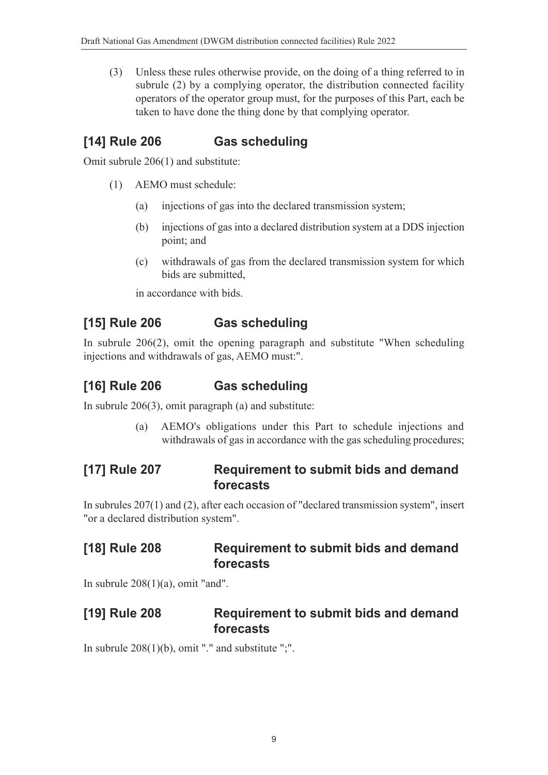(3) Unless these rules otherwise provide, on the doing of a thing referred to in subrule (2) by a complying operator, the distribution connected facility operators of the operator group must, for the purposes of this Part, each be taken to have done the thing done by that complying operator.

### **[14] Rule 206 Gas scheduling**

Omit subrule 206(1) and substitute:

- (1) AEMO must schedule:
	- (a) injections of gas into the declared transmission system;
	- (b) injections of gas into a declared distribution system at a DDS injection point; and
	- (c) withdrawals of gas from the declared transmission system for which bids are submitted,

in accordance with bids.

# **[15] Rule 206 Gas scheduling**

In subrule 206(2), omit the opening paragraph and substitute "When scheduling injections and withdrawals of gas, AEMO must:".

# **[16] Rule 206 Gas scheduling**

In subrule 206(3), omit paragraph (a) and substitute:

(a) AEMO's obligations under this Part to schedule injections and withdrawals of gas in accordance with the gas scheduling procedures;

### **[17] Rule 207 Requirement to submit bids and demand forecasts**

In subrules 207(1) and (2), after each occasion of "declared transmission system", insert "or a declared distribution system".

### **[18] Rule 208 Requirement to submit bids and demand forecasts**

In subrule  $208(1)(a)$ , omit "and".

### **[19] Rule 208 Requirement to submit bids and demand forecasts**

In subrule  $208(1)(b)$ , omit "." and substitute ";".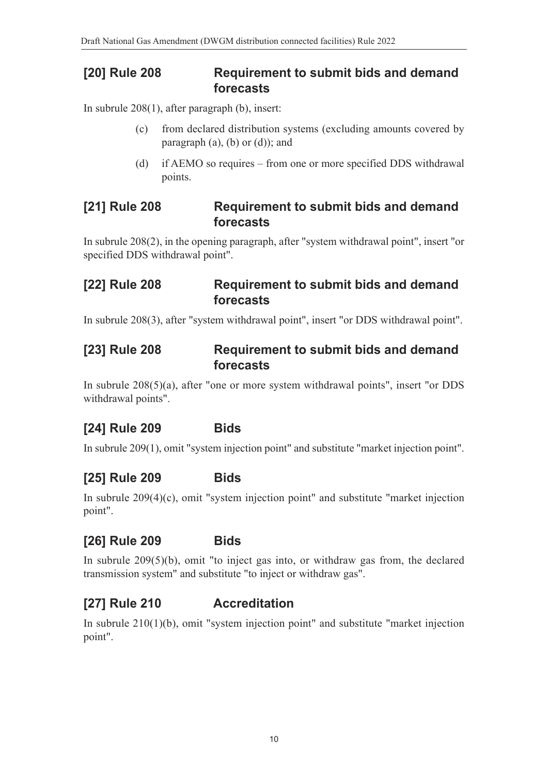### **[20] Rule 208 Requirement to submit bids and demand forecasts**

In subrule 208(1), after paragraph (b), insert:

- (c) from declared distribution systems (excluding amounts covered by paragraph  $(a)$ ,  $(b)$  or  $(d)$ ; and
- (d) if AEMO so requires from one or more specified DDS withdrawal points.

### **[21] Rule 208 Requirement to submit bids and demand forecasts**

In subrule 208(2), in the opening paragraph, after "system withdrawal point", insert "or specified DDS withdrawal point".

### **[22] Rule 208 Requirement to submit bids and demand forecasts**

In subrule 208(3), after "system withdrawal point", insert "or DDS withdrawal point".

### **[23] Rule 208 Requirement to submit bids and demand forecasts**

In subrule 208(5)(a), after "one or more system withdrawal points", insert "or DDS withdrawal points".

# **[24] Rule 209 Bids**

In subrule 209(1), omit "system injection point" and substitute "market injection point".

# **[25] Rule 209 Bids**

In subrule 209(4)(c), omit "system injection point" and substitute "market injection point".

### **[26] Rule 209 Bids**

In subrule 209(5)(b), omit "to inject gas into, or withdraw gas from, the declared transmission system" and substitute "to inject or withdraw gas".

# **[27] Rule 210 Accreditation**

In subrule 210(1)(b), omit "system injection point" and substitute "market injection point".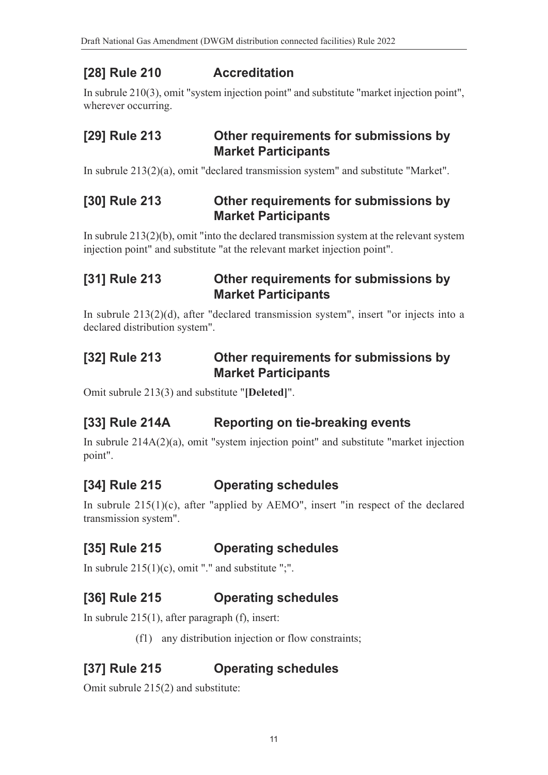# **[28] Rule 210 Accreditation**

In subrule 210(3), omit "system injection point" and substitute "market injection point", wherever occurring.

### **[29] Rule 213 Other requirements for submissions by Market Participants**

In subrule 213(2)(a), omit "declared transmission system" and substitute "Market".

### **[30] Rule 213 Other requirements for submissions by Market Participants**

In subrule 213(2)(b), omit "into the declared transmission system at the relevant system injection point" and substitute "at the relevant market injection point".

### **[31] Rule 213 Other requirements for submissions by Market Participants**

In subrule 213(2)(d), after "declared transmission system", insert "or injects into a declared distribution system".

### **[32] Rule 213 Other requirements for submissions by Market Participants**

Omit subrule 213(3) and substitute "**[Deleted]**".

# **[33] Rule 214A Reporting on tie-breaking events**

In subrule 214A(2)(a), omit "system injection point" and substitute "market injection point".

# **[34] Rule 215 Operating schedules**

In subrule 215(1)(c), after "applied by AEMO", insert "in respect of the declared transmission system".

# **[35] Rule 215 Operating schedules**

In subrule  $215(1)(c)$ , omit "." and substitute ";".

# **[36] Rule 215 Operating schedules**

In subrule 215(1), after paragraph (f), insert:

(f1) any distribution injection or flow constraints;

# **[37] Rule 215 Operating schedules**

Omit subrule 215(2) and substitute: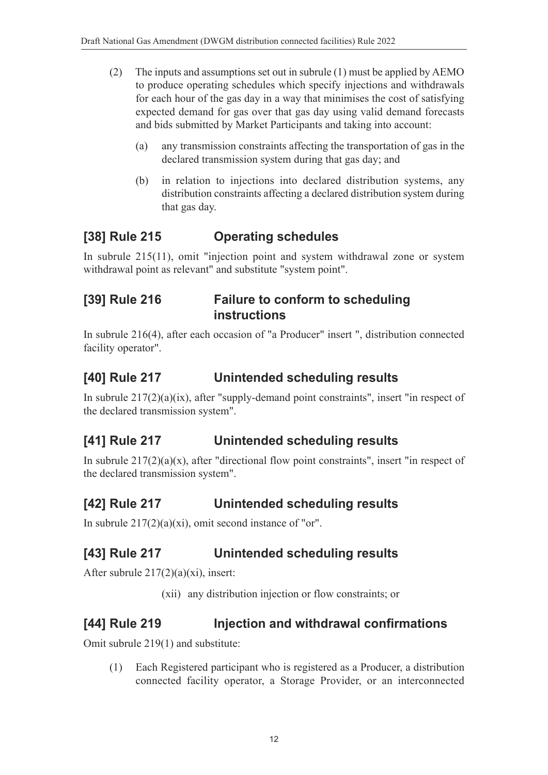- (2) The inputs and assumptions set out in subrule (1) must be applied by AEMO to produce operating schedules which specify injections and withdrawals for each hour of the gas day in a way that minimises the cost of satisfying expected demand for gas over that gas day using valid demand forecasts and bids submitted by Market Participants and taking into account:
	- (a) any transmission constraints affecting the transportation of gas in the declared transmission system during that gas day; and
	- (b) in relation to injections into declared distribution systems, any distribution constraints affecting a declared distribution system during that gas day.

# **[38] Rule 215 Operating schedules**

In subrule 215(11), omit "injection point and system withdrawal zone or system withdrawal point as relevant" and substitute "system point".

### **[39] Rule 216 Failure to conform to scheduling instructions**

In subrule 216(4), after each occasion of "a Producer" insert ", distribution connected facility operator".

# **[40] Rule 217 Unintended scheduling results**

In subrule 217(2)(a)(ix), after "supply-demand point constraints", insert "in respect of the declared transmission system".

# **[41] Rule 217 Unintended scheduling results**

In subrule  $217(2)(a)(x)$ , after "directional flow point constraints", insert "in respect of the declared transmission system".

# **[42] Rule 217 Unintended scheduling results**

In subrule  $217(2)(a)(xi)$ , omit second instance of "or".

# **[43] Rule 217 Unintended scheduling results**

After subrule 217(2)(a)(xi), insert:

(xii) any distribution injection or flow constraints; or

### **[44] Rule 219 Injection and withdrawal confirmations**

Omit subrule 219(1) and substitute:

(1) Each Registered participant who is registered as a Producer, a distribution connected facility operator, a Storage Provider, or an interconnected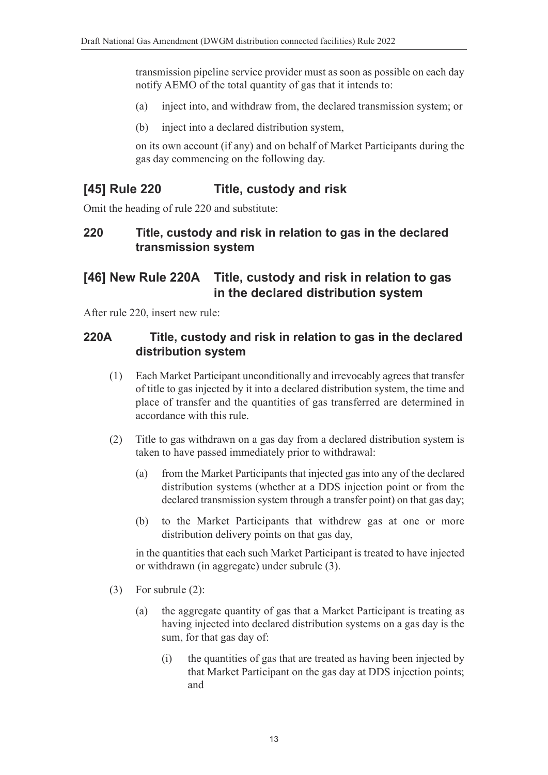transmission pipeline service provider must as soon as possible on each day notify AEMO of the total quantity of gas that it intends to:

- (a) inject into, and withdraw from, the declared transmission system; or
- (b) inject into a declared distribution system,

on its own account (if any) and on behalf of Market Participants during the gas day commencing on the following day.

### **[45] Rule 220 Title, custody and risk**

Omit the heading of rule 220 and substitute:

### **220 Title, custody and risk in relation to gas in the declared transmission system**

### **[46] New Rule 220A Title, custody and risk in relation to gas in the declared distribution system**

After rule 220, insert new rule:

#### **220A Title, custody and risk in relation to gas in the declared distribution system**

- (1) Each Market Participant unconditionally and irrevocably agrees that transfer of title to gas injected by it into a declared distribution system, the time and place of transfer and the quantities of gas transferred are determined in accordance with this rule.
- (2) Title to gas withdrawn on a gas day from a declared distribution system is taken to have passed immediately prior to withdrawal:
	- (a) from the Market Participants that injected gas into any of the declared distribution systems (whether at a DDS injection point or from the declared transmission system through a transfer point) on that gas day;
	- (b) to the Market Participants that withdrew gas at one or more distribution delivery points on that gas day,

in the quantities that each such Market Participant is treated to have injected or withdrawn (in aggregate) under subrule (3).

- (3) For subrule (2):
	- (a) the aggregate quantity of gas that a Market Participant is treating as having injected into declared distribution systems on a gas day is the sum, for that gas day of:
		- (i) the quantities of gas that are treated as having been injected by that Market Participant on the gas day at DDS injection points; and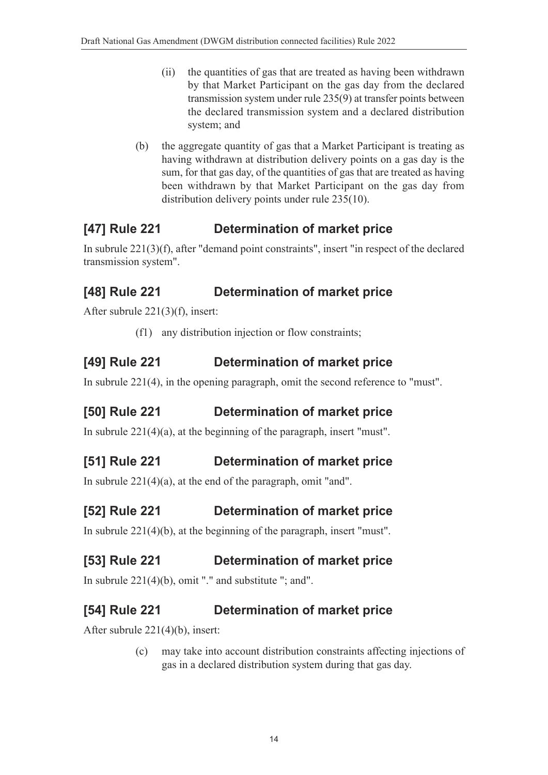- (ii) the quantities of gas that are treated as having been withdrawn by that Market Participant on the gas day from the declared transmission system under rule 235(9) at transfer points between the declared transmission system and a declared distribution system; and
- (b) the aggregate quantity of gas that a Market Participant is treating as having withdrawn at distribution delivery points on a gas day is the sum, for that gas day, of the quantities of gas that are treated as having been withdrawn by that Market Participant on the gas day from distribution delivery points under rule 235(10).

# **[47] Rule 221 Determination of market price**

In subrule 221(3)(f), after "demand point constraints", insert "in respect of the declared transmission system".

# **[48] Rule 221 Determination of market price**

After subrule 221(3)(f), insert:

(f1) any distribution injection or flow constraints;

# **[49] Rule 221 Determination of market price**

In subrule 221(4), in the opening paragraph, omit the second reference to "must".

# **[50] Rule 221 Determination of market price**

In subrule 221(4)(a), at the beginning of the paragraph, insert "must".

# **[51] Rule 221 Determination of market price**

In subrule 221(4)(a), at the end of the paragraph, omit "and".

# **[52] Rule 221 Determination of market price**

In subrule 221(4)(b), at the beginning of the paragraph, insert "must".

# **[53] Rule 221 Determination of market price**

In subrule  $221(4)(b)$ , omit "." and substitute "; and".

# **[54] Rule 221 Determination of market price**

After subrule 221(4)(b), insert:

(c) may take into account distribution constraints affecting injections of gas in a declared distribution system during that gas day.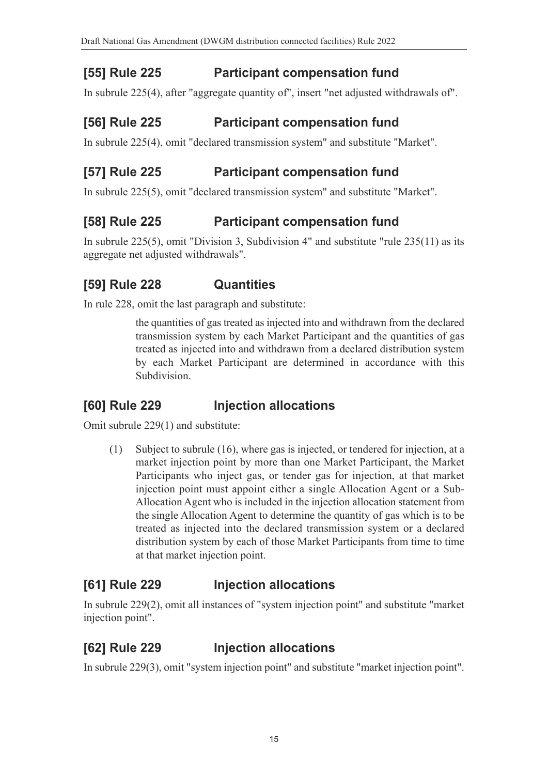# **[55] Rule 225 Participant compensation fund**

In subrule 225(4), after "aggregate quantity of", insert "net adjusted withdrawals of".

# **[56] Rule 225 Participant compensation fund**

In subrule 225(4), omit "declared transmission system" and substitute "Market".

# **[57] Rule 225 Participant compensation fund**

In subrule 225(5), omit "declared transmission system" and substitute "Market".

# **[58] Rule 225 Participant compensation fund**

In subrule 225(5), omit "Division 3, Subdivision 4" and substitute "rule 235(11) as its aggregate net adjusted withdrawals".

### **[59] Rule 228 Quantities**

In rule 228, omit the last paragraph and substitute:

the quantities of gas treated as injected into and withdrawn from the declared transmission system by each Market Participant and the quantities of gas treated as injected into and withdrawn from a declared distribution system by each Market Participant are determined in accordance with this Subdivision.

### **[60] Rule 229 Injection allocations**

Omit subrule 229(1) and substitute:

(1) Subject to subrule (16), where gas is injected, or tendered for injection, at a market injection point by more than one Market Participant, the Market Participants who inject gas, or tender gas for injection, at that market injection point must appoint either a single Allocation Agent or a Sub-Allocation Agent who is included in the injection allocation statement from the single Allocation Agent to determine the quantity of gas which is to be treated as injected into the declared transmission system or a declared distribution system by each of those Market Participants from time to time at that market injection point.

### **[61] Rule 229 Injection allocations**

In subrule 229(2), omit all instances of "system injection point" and substitute "market injection point".

### **[62] Rule 229 Injection allocations**

In subrule 229(3), omit "system injection point" and substitute "market injection point".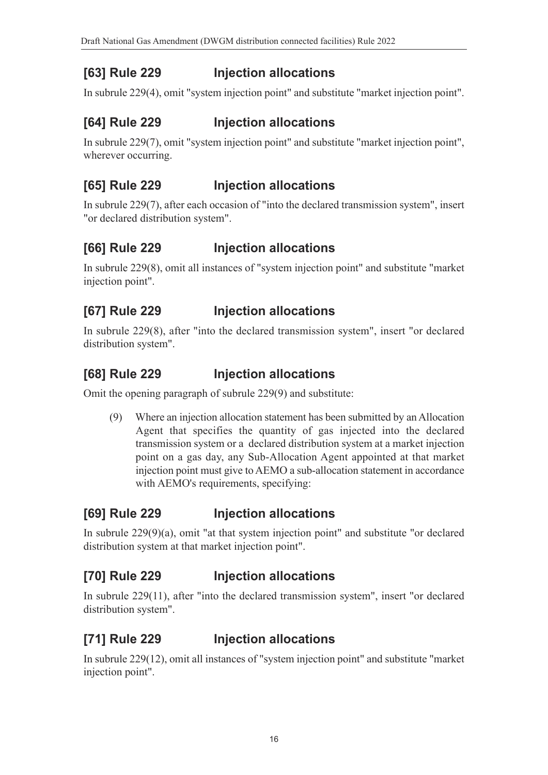# **[63] Rule 229 Injection allocations**

In subrule 229(4), omit "system injection point" and substitute "market injection point".

# **[64] Rule 229 Injection allocations**

In subrule 229(7), omit "system injection point" and substitute "market injection point", wherever occurring.

### **[65] Rule 229 Injection allocations**

In subrule 229(7), after each occasion of "into the declared transmission system", insert "or declared distribution system".

# **[66] Rule 229 Injection allocations**

In subrule 229(8), omit all instances of "system injection point" and substitute "market injection point".

# **[67] Rule 229 Injection allocations**

In subrule 229(8), after "into the declared transmission system", insert "or declared distribution system".

# **[68] Rule 229 Injection allocations**

Omit the opening paragraph of subrule 229(9) and substitute:

(9) Where an injection allocation statement has been submitted by an Allocation Agent that specifies the quantity of gas injected into the declared transmission system or a declared distribution system at a market injection point on a gas day, any Sub-Allocation Agent appointed at that market injection point must give to AEMO a sub-allocation statement in accordance with AEMO's requirements, specifying:

### **[69] Rule 229 Injection allocations**

In subrule 229(9)(a), omit "at that system injection point" and substitute "or declared distribution system at that market injection point".

### **[70] Rule 229 Injection allocations**

In subrule 229(11), after "into the declared transmission system", insert "or declared distribution system".

### **[71] Rule 229 Injection allocations**

In subrule 229(12), omit all instances of "system injection point" and substitute "market injection point".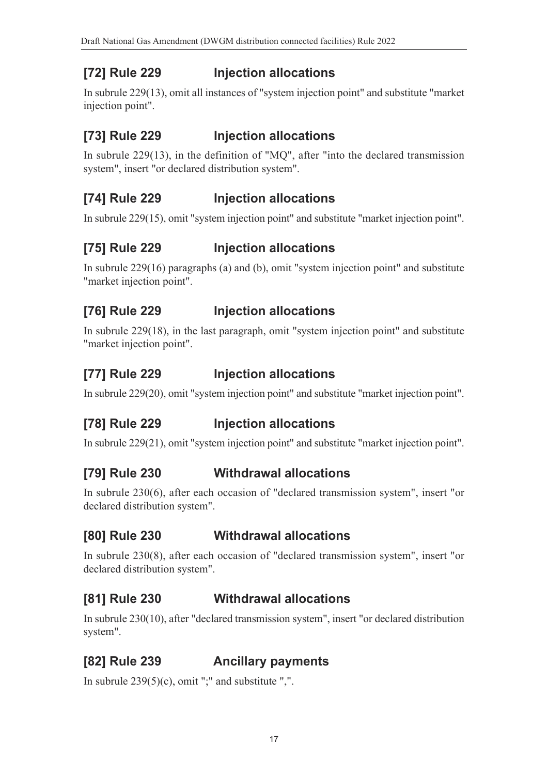# **[72] Rule 229 Injection allocations**

In subrule 229(13), omit all instances of "system injection point" and substitute "market injection point".

# **[73] Rule 229 Injection allocations**

In subrule 229(13), in the definition of "MQ", after "into the declared transmission system", insert "or declared distribution system".

# **[74] Rule 229 Injection allocations**

In subrule 229(15), omit "system injection point" and substitute "market injection point".

# **[75] Rule 229 Injection allocations**

In subrule 229(16) paragraphs (a) and (b), omit "system injection point" and substitute "market injection point".

# **[76] Rule 229 Injection allocations**

In subrule 229(18), in the last paragraph, omit "system injection point" and substitute "market injection point".

# **[77] Rule 229 Injection allocations**

In subrule 229(20), omit "system injection point" and substitute "market injection point".

# **[78] Rule 229 Injection allocations**

In subrule 229(21), omit "system injection point" and substitute "market injection point".

# **[79] Rule 230 Withdrawal allocations**

In subrule 230(6), after each occasion of "declared transmission system", insert "or declared distribution system".

# **[80] Rule 230 Withdrawal allocations**

In subrule 230(8), after each occasion of "declared transmission system", insert "or declared distribution system".

# **[81] Rule 230 Withdrawal allocations**

In subrule 230(10), after "declared transmission system", insert "or declared distribution system".

# **[82] Rule 239 Ancillary payments**

In subrule  $239(5)(c)$ , omit ";" and substitute ",".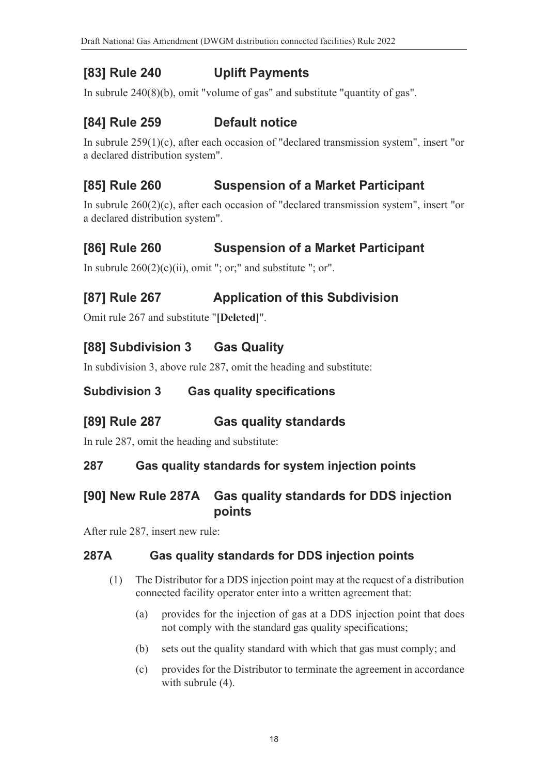# **[83] Rule 240 Uplift Payments**

In subrule 240(8)(b), omit "volume of gas" and substitute "quantity of gas".

# **[84] Rule 259 Default notice**

In subrule 259(1)(c), after each occasion of "declared transmission system", insert "or a declared distribution system".

### **[85] Rule 260 Suspension of a Market Participant**

In subrule 260(2)(c), after each occasion of "declared transmission system", insert "or a declared distribution system".

### **[86] Rule 260 Suspension of a Market Participant**

In subrule  $260(2)(c)(ii)$ , omit "; or;" and substitute "; or".

# **[87] Rule 267 Application of this Subdivision**

Omit rule 267 and substitute "**[Deleted]**".

### **[88] Subdivision 3 Gas Quality**

In subdivision 3, above rule 287, omit the heading and substitute:

### **Subdivision 3 Gas quality specifications**

### **[89] Rule 287 Gas quality standards**

In rule 287, omit the heading and substitute:

#### **287 Gas quality standards for system injection points**

### **[90] New Rule 287A Gas quality standards for DDS injection points**

After rule 287, insert new rule:

#### **287A Gas quality standards for DDS injection points**

- (1) The Distributor for a DDS injection point may at the request of a distribution connected facility operator enter into a written agreement that:
	- (a) provides for the injection of gas at a DDS injection point that does not comply with the standard gas quality specifications;
	- (b) sets out the quality standard with which that gas must comply; and
	- (c) provides for the Distributor to terminate the agreement in accordance with subrule  $(4)$ .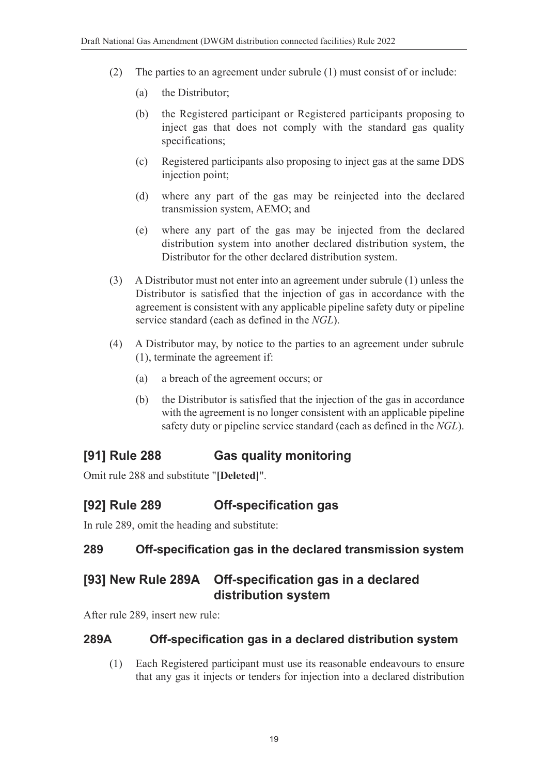- (2) The parties to an agreement under subrule (1) must consist of or include:
	- (a) the Distributor;
	- (b) the Registered participant or Registered participants proposing to inject gas that does not comply with the standard gas quality specifications;
	- (c) Registered participants also proposing to inject gas at the same DDS injection point;
	- (d) where any part of the gas may be reinjected into the declared transmission system, AEMO; and
	- (e) where any part of the gas may be injected from the declared distribution system into another declared distribution system, the Distributor for the other declared distribution system.
- (3) A Distributor must not enter into an agreement under subrule (1) unless the Distributor is satisfied that the injection of gas in accordance with the agreement is consistent with any applicable pipeline safety duty or pipeline service standard (each as defined in the *NGL*).
- (4) A Distributor may, by notice to the parties to an agreement under subrule (1), terminate the agreement if:
	- (a) a breach of the agreement occurs; or
	- (b) the Distributor is satisfied that the injection of the gas in accordance with the agreement is no longer consistent with an applicable pipeline safety duty or pipeline service standard (each as defined in the *NGL*).

### **[91] Rule 288 Gas quality monitoring**

Omit rule 288 and substitute "**[Deleted]**".

### **[92] Rule 289 Off-specification gas**

In rule 289, omit the heading and substitute:

#### **289 Off-specification gas in the declared transmission system**

### **[93] New Rule 289A Off-specification gas in a declared distribution system**

After rule 289, insert new rule:

#### **289A Off-specification gas in a declared distribution system**

(1) Each Registered participant must use its reasonable endeavours to ensure that any gas it injects or tenders for injection into a declared distribution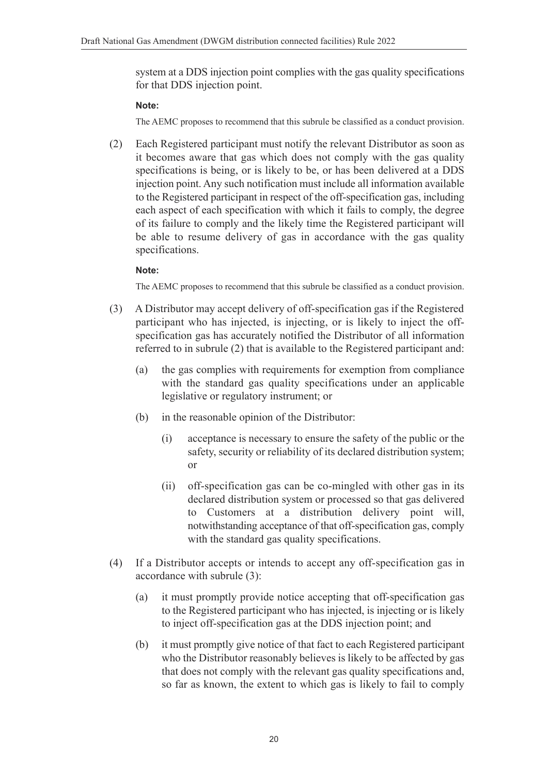system at a DDS injection point complies with the gas quality specifications for that DDS injection point.

#### **Note:**

The AEMC proposes to recommend that this subrule be classified as a conduct provision.

(2) Each Registered participant must notify the relevant Distributor as soon as it becomes aware that gas which does not comply with the gas quality specifications is being, or is likely to be, or has been delivered at a DDS injection point. Any such notification must include all information available to the Registered participant in respect of the off-specification gas, including each aspect of each specification with which it fails to comply, the degree of its failure to comply and the likely time the Registered participant will be able to resume delivery of gas in accordance with the gas quality specifications.

#### **Note:**

The AEMC proposes to recommend that this subrule be classified as a conduct provision.

- (3) A Distributor may accept delivery of off-specification gas if the Registered participant who has injected, is injecting, or is likely to inject the offspecification gas has accurately notified the Distributor of all information referred to in subrule (2) that is available to the Registered participant and:
	- (a) the gas complies with requirements for exemption from compliance with the standard gas quality specifications under an applicable legislative or regulatory instrument; or
	- (b) in the reasonable opinion of the Distributor:
		- (i) acceptance is necessary to ensure the safety of the public or the safety, security or reliability of its declared distribution system; or
		- (ii) off-specification gas can be co-mingled with other gas in its declared distribution system or processed so that gas delivered to Customers at a distribution delivery point will, notwithstanding acceptance of that off-specification gas, comply with the standard gas quality specifications.
- (4) If a Distributor accepts or intends to accept any off-specification gas in accordance with subrule (3):
	- (a) it must promptly provide notice accepting that off-specification gas to the Registered participant who has injected, is injecting or is likely to inject off-specification gas at the DDS injection point; and
	- (b) it must promptly give notice of that fact to each Registered participant who the Distributor reasonably believes is likely to be affected by gas that does not comply with the relevant gas quality specifications and, so far as known, the extent to which gas is likely to fail to comply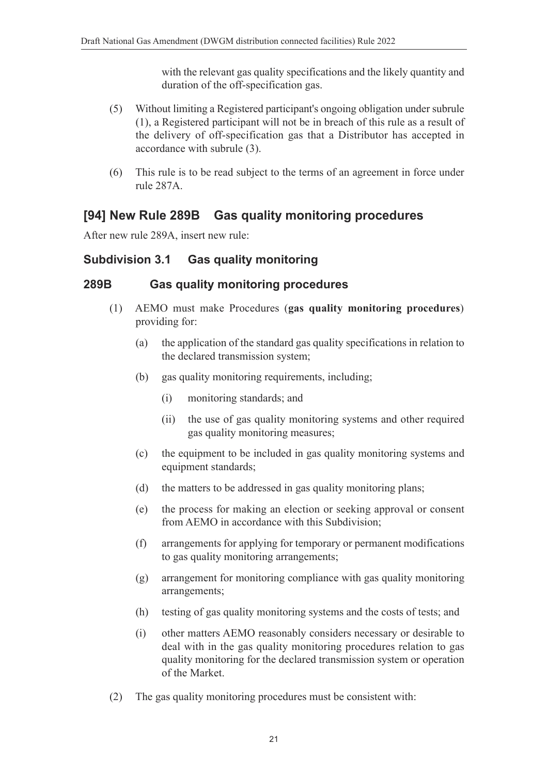with the relevant gas quality specifications and the likely quantity and duration of the off-specification gas.

- (5) Without limiting a Registered participant's ongoing obligation under subrule (1), a Registered participant will not be in breach of this rule as a result of the delivery of off-specification gas that a Distributor has accepted in accordance with subrule (3).
- (6) This rule is to be read subject to the terms of an agreement in force under rule 287A.

### **[94] New Rule 289B Gas quality monitoring procedures**

After new rule 289A, insert new rule:

#### **Subdivision 3.1 Gas quality monitoring**

#### **289B Gas quality monitoring procedures**

- (1) AEMO must make Procedures (**gas quality monitoring procedures**) providing for:
	- (a) the application of the standard gas quality specifications in relation to the declared transmission system;
	- (b) gas quality monitoring requirements, including;
		- (i) monitoring standards; and
		- (ii) the use of gas quality monitoring systems and other required gas quality monitoring measures;
	- (c) the equipment to be included in gas quality monitoring systems and equipment standards;
	- (d) the matters to be addressed in gas quality monitoring plans;
	- (e) the process for making an election or seeking approval or consent from AEMO in accordance with this Subdivision;
	- (f) arrangements for applying for temporary or permanent modifications to gas quality monitoring arrangements;
	- (g) arrangement for monitoring compliance with gas quality monitoring arrangements;
	- (h) testing of gas quality monitoring systems and the costs of tests; and
	- (i) other matters AEMO reasonably considers necessary or desirable to deal with in the gas quality monitoring procedures relation to gas quality monitoring for the declared transmission system or operation of the Market.
- (2) The gas quality monitoring procedures must be consistent with: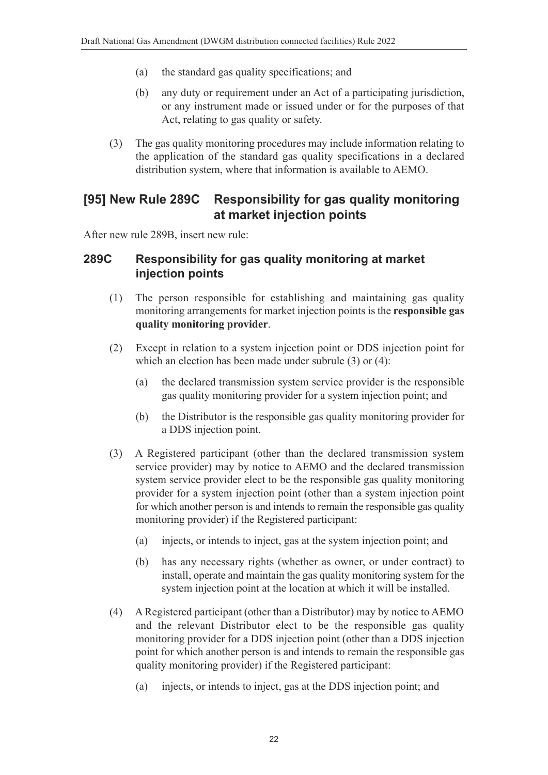- (a) the standard gas quality specifications; and
- (b) any duty or requirement under an Act of a participating jurisdiction, or any instrument made or issued under or for the purposes of that Act, relating to gas quality or safety.
- (3) The gas quality monitoring procedures may include information relating to the application of the standard gas quality specifications in a declared distribution system, where that information is available to AEMO.

### **[95] New Rule 289C Responsibility for gas quality monitoring at market injection points**

After new rule 289B, insert new rule:

#### **289C Responsibility for gas quality monitoring at market injection points**

- (1) The person responsible for establishing and maintaining gas quality monitoring arrangements for market injection points is the **responsible gas quality monitoring provider**.
- (2) Except in relation to a system injection point or DDS injection point for which an election has been made under subrule (3) or (4):
	- (a) the declared transmission system service provider is the responsible gas quality monitoring provider for a system injection point; and
	- (b) the Distributor is the responsible gas quality monitoring provider for a DDS injection point.
- (3) A Registered participant (other than the declared transmission system service provider) may by notice to AEMO and the declared transmission system service provider elect to be the responsible gas quality monitoring provider for a system injection point (other than a system injection point for which another person is and intends to remain the responsible gas quality monitoring provider) if the Registered participant:
	- (a) injects, or intends to inject, gas at the system injection point; and
	- (b) has any necessary rights (whether as owner, or under contract) to install, operate and maintain the gas quality monitoring system for the system injection point at the location at which it will be installed.
- (4) A Registered participant (other than a Distributor) may by notice to AEMO and the relevant Distributor elect to be the responsible gas quality monitoring provider for a DDS injection point (other than a DDS injection point for which another person is and intends to remain the responsible gas quality monitoring provider) if the Registered participant:
	- (a) injects, or intends to inject, gas at the DDS injection point; and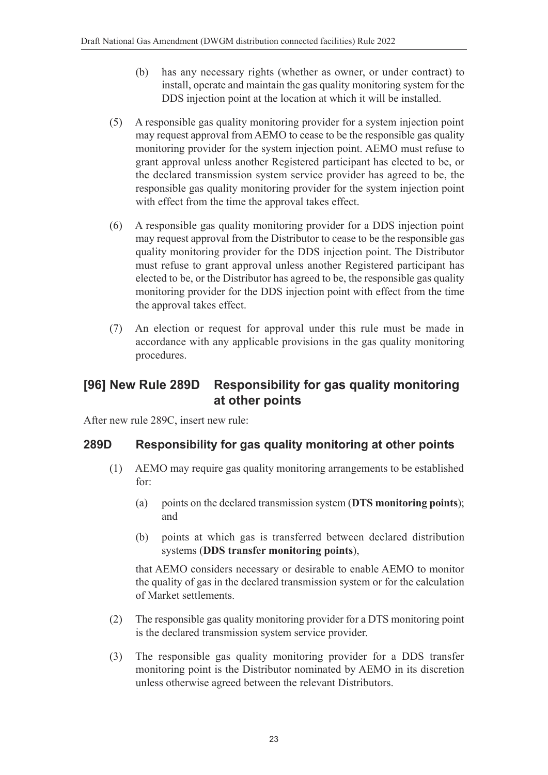- (b) has any necessary rights (whether as owner, or under contract) to install, operate and maintain the gas quality monitoring system for the DDS injection point at the location at which it will be installed.
- (5) A responsible gas quality monitoring provider for a system injection point may request approval from AEMO to cease to be the responsible gas quality monitoring provider for the system injection point. AEMO must refuse to grant approval unless another Registered participant has elected to be, or the declared transmission system service provider has agreed to be, the responsible gas quality monitoring provider for the system injection point with effect from the time the approval takes effect.
- (6) A responsible gas quality monitoring provider for a DDS injection point may request approval from the Distributor to cease to be the responsible gas quality monitoring provider for the DDS injection point. The Distributor must refuse to grant approval unless another Registered participant has elected to be, or the Distributor has agreed to be, the responsible gas quality monitoring provider for the DDS injection point with effect from the time the approval takes effect.
- (7) An election or request for approval under this rule must be made in accordance with any applicable provisions in the gas quality monitoring procedures.

### **[96] New Rule 289D Responsibility for gas quality monitoring at other points**

After new rule 289C, insert new rule:

#### **289D Responsibility for gas quality monitoring at other points**

- (1) AEMO may require gas quality monitoring arrangements to be established for:
	- (a) points on the declared transmission system (**DTS monitoring points**); and
	- (b) points at which gas is transferred between declared distribution systems (**DDS transfer monitoring points**),

that AEMO considers necessary or desirable to enable AEMO to monitor the quality of gas in the declared transmission system or for the calculation of Market settlements.

- (2) The responsible gas quality monitoring provider for a DTS monitoring point is the declared transmission system service provider.
- (3) The responsible gas quality monitoring provider for a DDS transfer monitoring point is the Distributor nominated by AEMO in its discretion unless otherwise agreed between the relevant Distributors.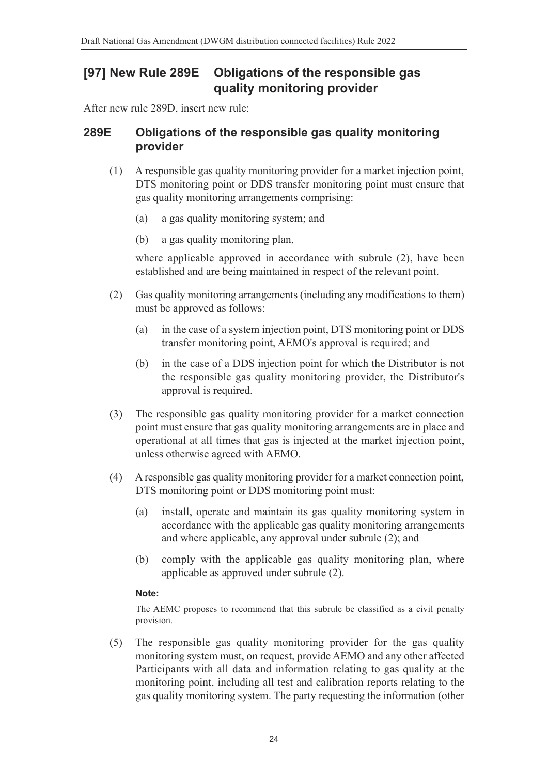### **[97] New Rule 289E Obligations of the responsible gas quality monitoring provider**

After new rule 289D, insert new rule:

#### **289E Obligations of the responsible gas quality monitoring provider**

- (1) A responsible gas quality monitoring provider for a market injection point, DTS monitoring point or DDS transfer monitoring point must ensure that gas quality monitoring arrangements comprising:
	- (a) a gas quality monitoring system; and
	- (b) a gas quality monitoring plan,

where applicable approved in accordance with subrule (2), have been established and are being maintained in respect of the relevant point.

- (2) Gas quality monitoring arrangements (including any modifications to them) must be approved as follows:
	- (a) in the case of a system injection point, DTS monitoring point or DDS transfer monitoring point, AEMO's approval is required; and
	- (b) in the case of a DDS injection point for which the Distributor is not the responsible gas quality monitoring provider, the Distributor's approval is required.
- (3) The responsible gas quality monitoring provider for a market connection point must ensure that gas quality monitoring arrangements are in place and operational at all times that gas is injected at the market injection point, unless otherwise agreed with AEMO.
- (4) A responsible gas quality monitoring provider for a market connection point, DTS monitoring point or DDS monitoring point must:
	- (a) install, operate and maintain its gas quality monitoring system in accordance with the applicable gas quality monitoring arrangements and where applicable, any approval under subrule (2); and
	- (b) comply with the applicable gas quality monitoring plan, where applicable as approved under subrule (2).

#### **Note:**

The AEMC proposes to recommend that this subrule be classified as a civil penalty provision.

(5) The responsible gas quality monitoring provider for the gas quality monitoring system must, on request, provide AEMO and any other affected Participants with all data and information relating to gas quality at the monitoring point, including all test and calibration reports relating to the gas quality monitoring system. The party requesting the information (other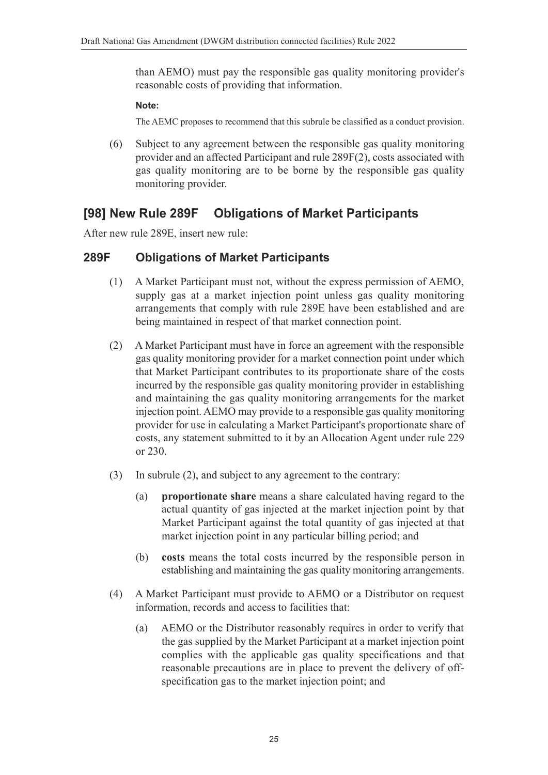than AEMO) must pay the responsible gas quality monitoring provider's reasonable costs of providing that information.

#### **Note:**

The AEMC proposes to recommend that this subrule be classified as a conduct provision.

(6) Subject to any agreement between the responsible gas quality monitoring provider and an affected Participant and rule 289F(2), costs associated with gas quality monitoring are to be borne by the responsible gas quality monitoring provider.

### **[98] New Rule 289F Obligations of Market Participants**

After new rule 289E, insert new rule:

#### **289F Obligations of Market Participants**

- (1) A Market Participant must not, without the express permission of AEMO, supply gas at a market injection point unless gas quality monitoring arrangements that comply with rule 289E have been established and are being maintained in respect of that market connection point.
- (2) A Market Participant must have in force an agreement with the responsible gas quality monitoring provider for a market connection point under which that Market Participant contributes to its proportionate share of the costs incurred by the responsible gas quality monitoring provider in establishing and maintaining the gas quality monitoring arrangements for the market injection point. AEMO may provide to a responsible gas quality monitoring provider for use in calculating a Market Participant's proportionate share of costs, any statement submitted to it by an Allocation Agent under rule 229 or 230.
- (3) In subrule (2), and subject to any agreement to the contrary:
	- (a) **proportionate share** means a share calculated having regard to the actual quantity of gas injected at the market injection point by that Market Participant against the total quantity of gas injected at that market injection point in any particular billing period; and
	- (b) **costs** means the total costs incurred by the responsible person in establishing and maintaining the gas quality monitoring arrangements.
- (4) A Market Participant must provide to AEMO or a Distributor on request information, records and access to facilities that:
	- (a) AEMO or the Distributor reasonably requires in order to verify that the gas supplied by the Market Participant at a market injection point complies with the applicable gas quality specifications and that reasonable precautions are in place to prevent the delivery of offspecification gas to the market injection point; and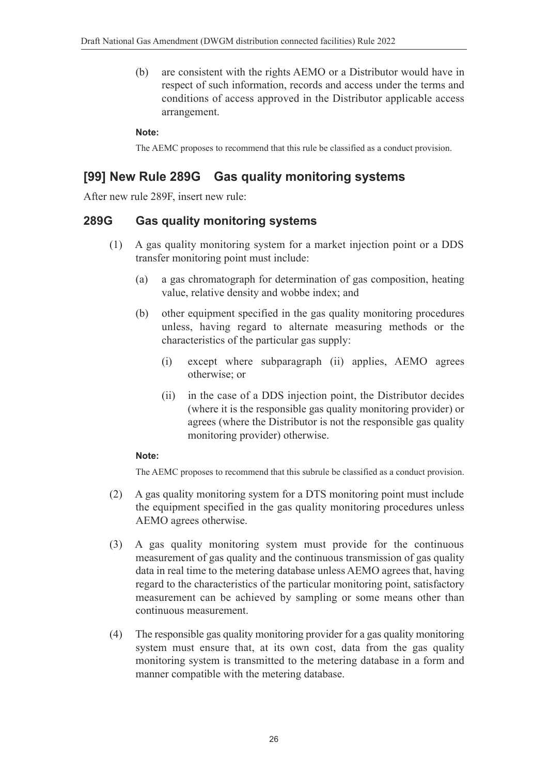(b) are consistent with the rights AEMO or a Distributor would have in respect of such information, records and access under the terms and conditions of access approved in the Distributor applicable access arrangement.

#### **Note:**

The AEMC proposes to recommend that this rule be classified as a conduct provision.

### **[99] New Rule 289G Gas quality monitoring systems**

After new rule 289F, insert new rule:

#### **289G Gas quality monitoring systems**

- (1) A gas quality monitoring system for a market injection point or a DDS transfer monitoring point must include:
	- (a) a gas chromatograph for determination of gas composition, heating value, relative density and wobbe index; and
	- (b) other equipment specified in the gas quality monitoring procedures unless, having regard to alternate measuring methods or the characteristics of the particular gas supply:
		- (i) except where subparagraph (ii) applies, AEMO agrees otherwise; or
		- (ii) in the case of a DDS injection point, the Distributor decides (where it is the responsible gas quality monitoring provider) or agrees (where the Distributor is not the responsible gas quality monitoring provider) otherwise.

#### **Note:**

The AEMC proposes to recommend that this subrule be classified as a conduct provision.

- (2) A gas quality monitoring system for a DTS monitoring point must include the equipment specified in the gas quality monitoring procedures unless AEMO agrees otherwise.
- (3) A gas quality monitoring system must provide for the continuous measurement of gas quality and the continuous transmission of gas quality data in real time to the metering database unless AEMO agrees that, having regard to the characteristics of the particular monitoring point, satisfactory measurement can be achieved by sampling or some means other than continuous measurement.
- (4) The responsible gas quality monitoring provider for a gas quality monitoring system must ensure that, at its own cost, data from the gas quality monitoring system is transmitted to the metering database in a form and manner compatible with the metering database.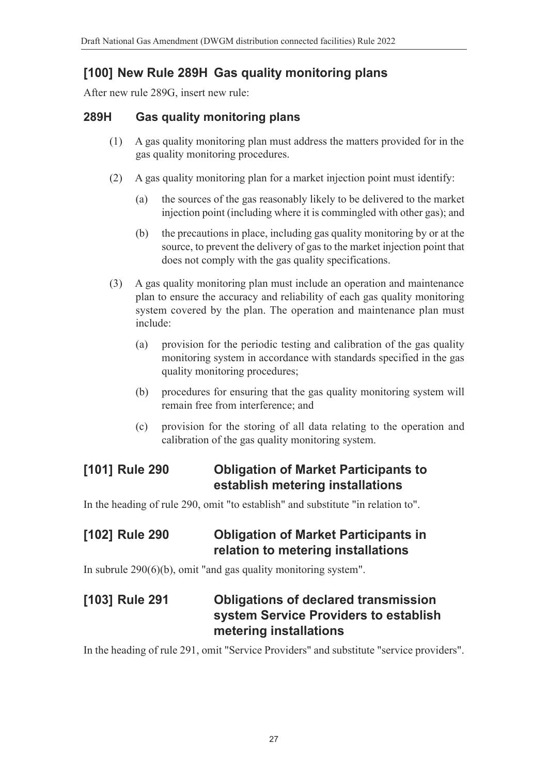# **[100] New Rule 289H Gas quality monitoring plans**

After new rule 289G, insert new rule:

### **289H Gas quality monitoring plans**

- (1) A gas quality monitoring plan must address the matters provided for in the gas quality monitoring procedures.
- (2) A gas quality monitoring plan for a market injection point must identify:
	- (a) the sources of the gas reasonably likely to be delivered to the market injection point (including where it is commingled with other gas); and
	- (b) the precautions in place, including gas quality monitoring by or at the source, to prevent the delivery of gas to the market injection point that does not comply with the gas quality specifications.
- (3) A gas quality monitoring plan must include an operation and maintenance plan to ensure the accuracy and reliability of each gas quality monitoring system covered by the plan. The operation and maintenance plan must include:
	- (a) provision for the periodic testing and calibration of the gas quality monitoring system in accordance with standards specified in the gas quality monitoring procedures;
	- (b) procedures for ensuring that the gas quality monitoring system will remain free from interference; and
	- (c) provision for the storing of all data relating to the operation and calibration of the gas quality monitoring system.

### **[101] Rule 290 Obligation of Market Participants to establish metering installations**

In the heading of rule 290, omit "to establish" and substitute "in relation to".

### **[102] Rule 290 Obligation of Market Participants in relation to metering installations**

In subrule 290(6)(b), omit "and gas quality monitoring system".

### **[103] Rule 291 Obligations of declared transmission system Service Providers to establish metering installations**

In the heading of rule 291, omit "Service Providers" and substitute "service providers".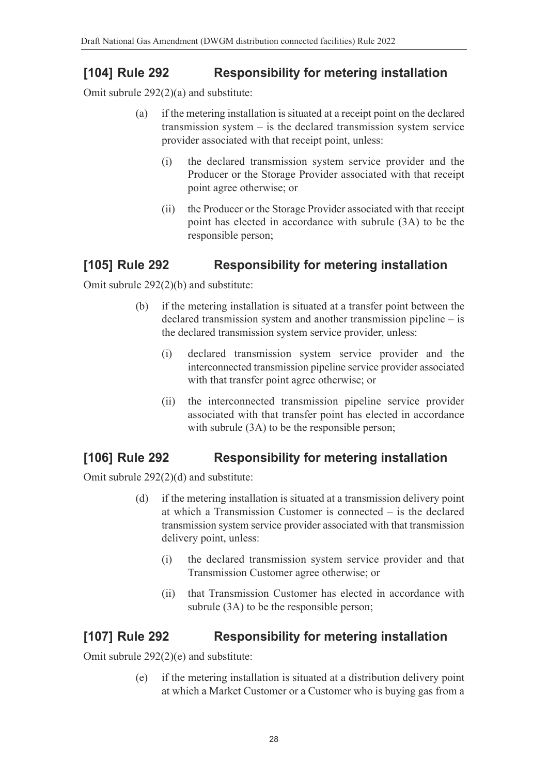# **[104] Rule 292 Responsibility for metering installation**

Omit subrule 292(2)(a) and substitute:

- (a) if the metering installation is situated at a receipt point on the declared transmission system – is the declared transmission system service provider associated with that receipt point, unless:
	- (i) the declared transmission system service provider and the Producer or the Storage Provider associated with that receipt point agree otherwise; or
	- (ii) the Producer or the Storage Provider associated with that receipt point has elected in accordance with subrule (3A) to be the responsible person;

### **[105] Rule 292 Responsibility for metering installation**

Omit subrule 292(2)(b) and substitute:

- (b) if the metering installation is situated at a transfer point between the declared transmission system and another transmission pipeline – is the declared transmission system service provider, unless:
	- (i) declared transmission system service provider and the interconnected transmission pipeline service provider associated with that transfer point agree otherwise; or
	- (ii) the interconnected transmission pipeline service provider associated with that transfer point has elected in accordance with subrule  $(3A)$  to be the responsible person;

### **[106] Rule 292 Responsibility for metering installation**

Omit subrule 292(2)(d) and substitute:

- (d) if the metering installation is situated at a transmission delivery point at which a Transmission Customer is connected – is the declared transmission system service provider associated with that transmission delivery point, unless:
	- (i) the declared transmission system service provider and that Transmission Customer agree otherwise; or
	- (ii) that Transmission Customer has elected in accordance with subrule  $(3A)$  to be the responsible person;

### **[107] Rule 292 Responsibility for metering installation**

Omit subrule 292(2)(e) and substitute:

(e) if the metering installation is situated at a distribution delivery point at which a Market Customer or a Customer who is buying gas from a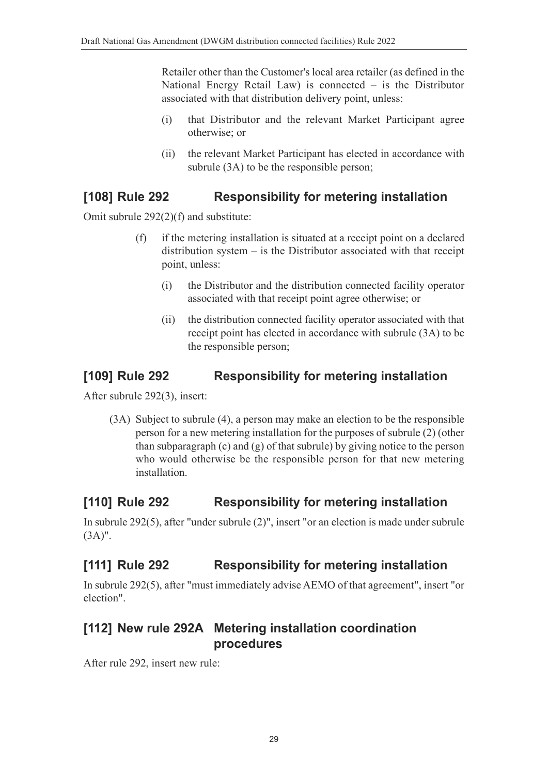Retailer other than the Customer's local area retailer (as defined in the National Energy Retail Law) is connected – is the Distributor associated with that distribution delivery point, unless:

- (i) that Distributor and the relevant Market Participant agree otherwise; or
- (ii) the relevant Market Participant has elected in accordance with subrule (3A) to be the responsible person:

# **[108] Rule 292 Responsibility for metering installation**

Omit subrule 292(2)(f) and substitute:

- (f) if the metering installation is situated at a receipt point on a declared distribution system – is the Distributor associated with that receipt point, unless:
	- (i) the Distributor and the distribution connected facility operator associated with that receipt point agree otherwise; or
	- (ii) the distribution connected facility operator associated with that receipt point has elected in accordance with subrule (3A) to be the responsible person;

### **[109] Rule 292 Responsibility for metering installation**

After subrule 292(3), insert:

(3A) Subject to subrule (4), a person may make an election to be the responsible person for a new metering installation for the purposes of subrule (2) (other than subparagraph (c) and (g) of that subrule) by giving notice to the person who would otherwise be the responsible person for that new metering installation.

### **[110] Rule 292 Responsibility for metering installation**

In subrule 292(5), after "under subrule (2)", insert "or an election is made under subrule  $(3A)$ ".

### **[111] Rule 292 Responsibility for metering installation**

In subrule 292(5), after "must immediately advise AEMO of that agreement", insert "or election".

# **[112] New rule 292A Metering installation coordination procedures**

After rule 292, insert new rule: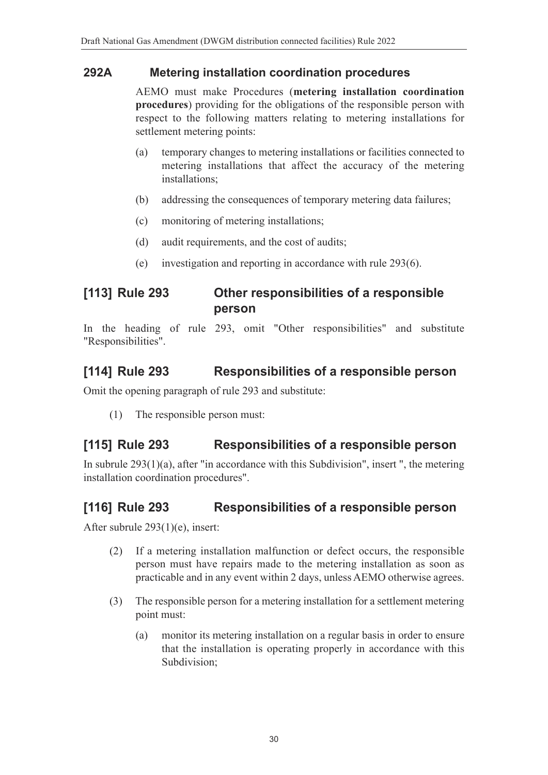#### **292A Metering installation coordination procedures**

AEMO must make Procedures (**metering installation coordination procedures**) providing for the obligations of the responsible person with respect to the following matters relating to metering installations for settlement metering points:

- (a) temporary changes to metering installations or facilities connected to metering installations that affect the accuracy of the metering installations;
- (b) addressing the consequences of temporary metering data failures;
- (c) monitoring of metering installations;
- (d) audit requirements, and the cost of audits;
- (e) investigation and reporting in accordance with rule 293(6).

### **[113] Rule 293 Other responsibilities of a responsible person**

In the heading of rule 293, omit "Other responsibilities" and substitute "Responsibilities".

### **[114] Rule 293 Responsibilities of a responsible person**

Omit the opening paragraph of rule 293 and substitute:

(1) The responsible person must:

### **[115] Rule 293 Responsibilities of a responsible person**

In subrule 293(1)(a), after "in accordance with this Subdivision", insert ", the metering installation coordination procedures".

### **[116] Rule 293 Responsibilities of a responsible person**

After subrule 293(1)(e), insert:

- (2) If a metering installation malfunction or defect occurs, the responsible person must have repairs made to the metering installation as soon as practicable and in any event within 2 days, unless AEMO otherwise agrees.
- (3) The responsible person for a metering installation for a settlement metering point must:
	- (a) monitor its metering installation on a regular basis in order to ensure that the installation is operating properly in accordance with this Subdivision;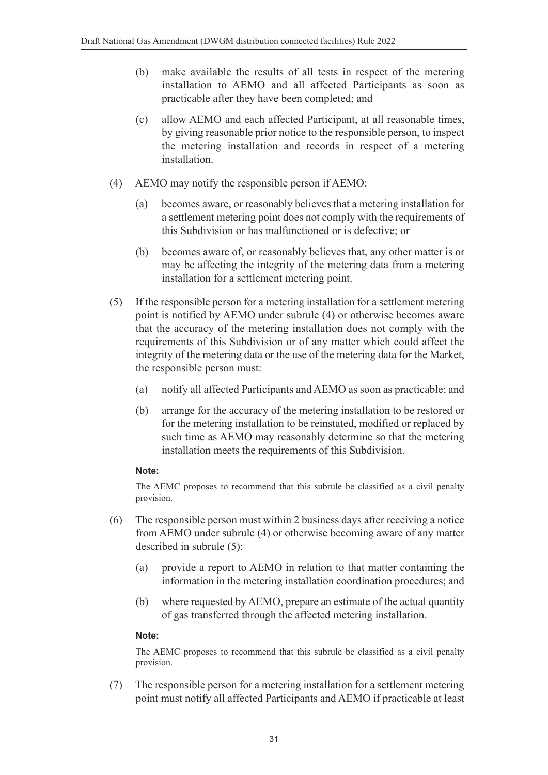- (b) make available the results of all tests in respect of the metering installation to AEMO and all affected Participants as soon as practicable after they have been completed; and
- (c) allow AEMO and each affected Participant, at all reasonable times, by giving reasonable prior notice to the responsible person, to inspect the metering installation and records in respect of a metering installation.
- (4) AEMO may notify the responsible person if AEMO:
	- (a) becomes aware, or reasonably believes that a metering installation for a settlement metering point does not comply with the requirements of this Subdivision or has malfunctioned or is defective; or
	- (b) becomes aware of, or reasonably believes that, any other matter is or may be affecting the integrity of the metering data from a metering installation for a settlement metering point.
- (5) If the responsible person for a metering installation for a settlement metering point is notified by AEMO under subrule (4) or otherwise becomes aware that the accuracy of the metering installation does not comply with the requirements of this Subdivision or of any matter which could affect the integrity of the metering data or the use of the metering data for the Market, the responsible person must:
	- (a) notify all affected Participants and AEMO as soon as practicable; and
	- (b) arrange for the accuracy of the metering installation to be restored or for the metering installation to be reinstated, modified or replaced by such time as AEMO may reasonably determine so that the metering installation meets the requirements of this Subdivision.

#### **Note:**

The AEMC proposes to recommend that this subrule be classified as a civil penalty provision.

- (6) The responsible person must within 2 business days after receiving a notice from AEMO under subrule (4) or otherwise becoming aware of any matter described in subrule (5):
	- (a) provide a report to AEMO in relation to that matter containing the information in the metering installation coordination procedures; and
	- (b) where requested by AEMO, prepare an estimate of the actual quantity of gas transferred through the affected metering installation.

#### **Note:**

The AEMC proposes to recommend that this subrule be classified as a civil penalty provision.

(7) The responsible person for a metering installation for a settlement metering point must notify all affected Participants and AEMO if practicable at least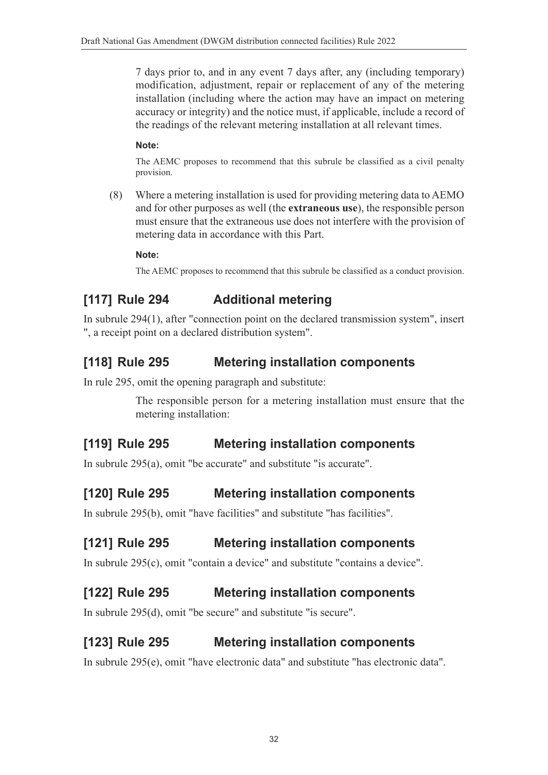7 days prior to, and in any event 7 days after, any (including temporary) modification, adjustment, repair or replacement of any of the metering installation (including where the action may have an impact on metering accuracy or integrity) and the notice must, if applicable, include a record of the readings of the relevant metering installation at all relevant times.

#### **Note:**

The AEMC proposes to recommend that this subrule be classified as a civil penalty provision.

(8) Where a metering installation is used for providing metering data to AEMO and for other purposes as well (the **extraneous use**), the responsible person must ensure that the extraneous use does not interfere with the provision of metering data in accordance with this Part.

#### **Note:**

The AEMC proposes to recommend that this subrule be classified as a conduct provision.

# **[117] Rule 294 Additional metering**

In subrule 294(1), after "connection point on the declared transmission system", insert ", a receipt point on a declared distribution system".

### **[118] Rule 295 Metering installation components**

In rule 295, omit the opening paragraph and substitute:

The responsible person for a metering installation must ensure that the metering installation:

### **[119] Rule 295 Metering installation components**

In subrule 295(a), omit "be accurate" and substitute "is accurate".

### **[120] Rule 295 Metering installation components**

In subrule 295(b), omit "have facilities" and substitute "has facilities".

### **[121] Rule 295 Metering installation components**

In subrule 295(c), omit "contain a device" and substitute "contains a device".

### **[122] Rule 295 Metering installation components**

In subrule 295(d), omit "be secure" and substitute "is secure".

### **[123] Rule 295 Metering installation components**

In subrule 295(e), omit "have electronic data" and substitute "has electronic data".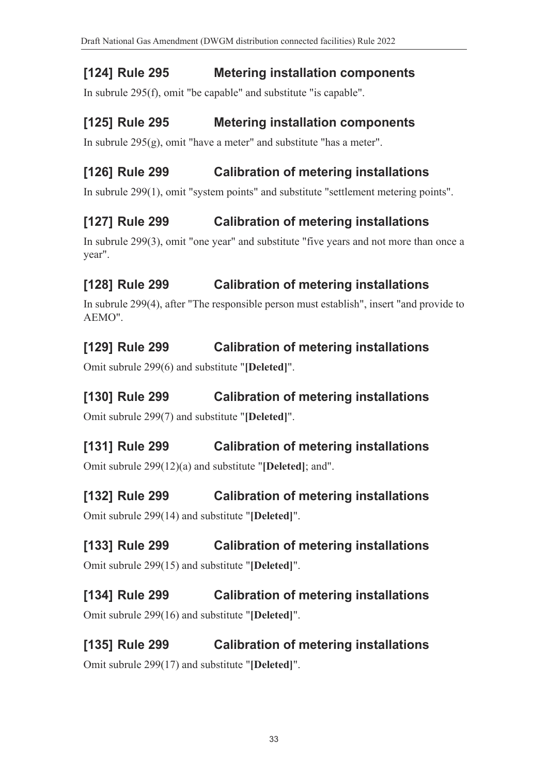# **[124] Rule 295 Metering installation components**

In subrule 295(f), omit "be capable" and substitute "is capable".

### **[125] Rule 295 Metering installation components**

In subrule 295(g), omit "have a meter" and substitute "has a meter".

# **[126] Rule 299 Calibration of metering installations**

In subrule 299(1), omit "system points" and substitute "settlement metering points".

# **[127] Rule 299 Calibration of metering installations**

In subrule 299(3), omit "one year" and substitute "five years and not more than once a year".

# **[128] Rule 299 Calibration of metering installations**

In subrule 299(4), after "The responsible person must establish", insert "and provide to AEMO".

# **[129] Rule 299 Calibration of metering installations**

Omit subrule 299(6) and substitute "**[Deleted]**".

### **[130] Rule 299 Calibration of metering installations**

Omit subrule 299(7) and substitute "**[Deleted]**".

# **[131] Rule 299 Calibration of metering installations**

Omit subrule 299(12)(a) and substitute "**[Deleted]**; and".

# **[132] Rule 299 Calibration of metering installations**

Omit subrule 299(14) and substitute "**[Deleted]**".

# **[133] Rule 299 Calibration of metering installations**

Omit subrule 299(15) and substitute "**[Deleted]**".

# **[134] Rule 299 Calibration of metering installations**  Omit subrule 299(16) and substitute "**[Deleted]**".

# **[135] Rule 299 Calibration of metering installations**  Omit subrule 299(17) and substitute "**[Deleted]**".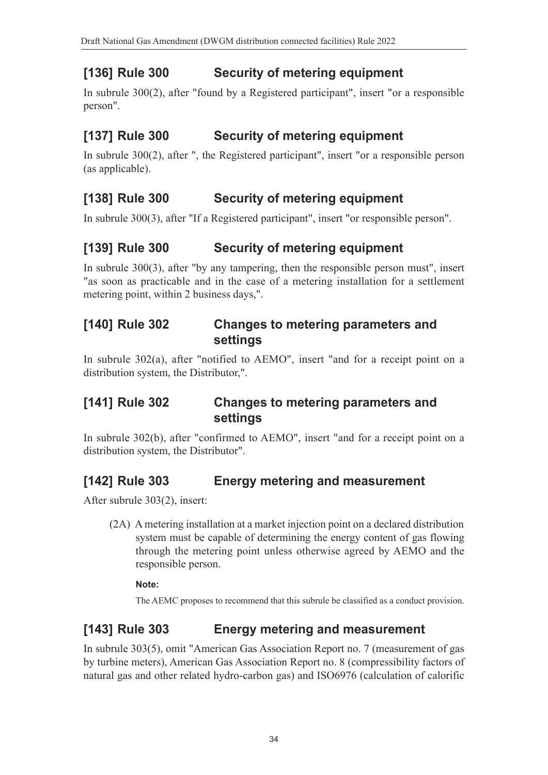# **[136] Rule 300 Security of metering equipment**

In subrule 300(2), after "found by a Registered participant", insert "or a responsible person".

# **[137] Rule 300 Security of metering equipment**

In subrule 300(2), after ", the Registered participant", insert "or a responsible person (as applicable).

# **[138] Rule 300 Security of metering equipment**

In subrule 300(3), after "If a Registered participant", insert "or responsible person".

# **[139] Rule 300 Security of metering equipment**

In subrule 300(3), after "by any tampering, then the responsible person must", insert "as soon as practicable and in the case of a metering installation for a settlement metering point, within 2 business days,".

### **[140] Rule 302 Changes to metering parameters and settings**

In subrule 302(a), after "notified to AEMO", insert "and for a receipt point on a distribution system, the Distributor,".

### **[141] Rule 302 Changes to metering parameters and settings**

In subrule 302(b), after "confirmed to AEMO", insert "and for a receipt point on a distribution system, the Distributor".

# **[142] Rule 303 Energy metering and measurement**

After subrule 303(2), insert:

(2A) A metering installation at a market injection point on a declared distribution system must be capable of determining the energy content of gas flowing through the metering point unless otherwise agreed by AEMO and the responsible person.

#### **Note:**

The AEMC proposes to recommend that this subrule be classified as a conduct provision.

# **[143] Rule 303 Energy metering and measurement**

In subrule 303(5), omit "American Gas Association Report no. 7 (measurement of gas by turbine meters), American Gas Association Report no. 8 (compressibility factors of natural gas and other related hydro-carbon gas) and ISO6976 (calculation of calorific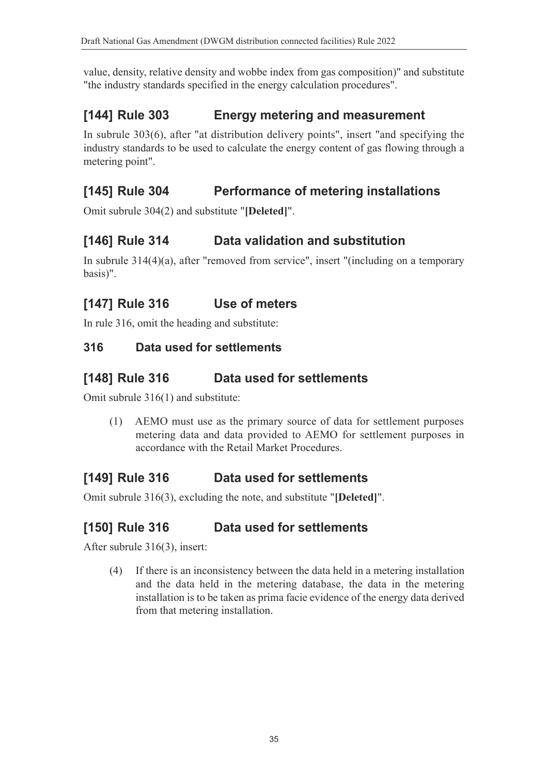value, density, relative density and wobbe index from gas composition)" and substitute "the industry standards specified in the energy calculation procedures".

# **[144] Rule 303 Energy metering and measurement**

In subrule 303(6), after "at distribution delivery points", insert "and specifying the industry standards to be used to calculate the energy content of gas flowing through a metering point".

### **[145] Rule 304 Performance of metering installations**

Omit subrule 304(2) and substitute "**[Deleted]**".

### **[146] Rule 314 Data validation and substitution**

In subrule 314(4)(a), after "removed from service", insert "(including on a temporary basis)".

# **[147] Rule 316 Use of meters**

In rule 316, omit the heading and substitute:

### **316 Data used for settlements**

### **[148] Rule 316 Data used for settlements**

Omit subrule 316(1) and substitute:

(1) AEMO must use as the primary source of data for settlement purposes metering data and data provided to AEMO for settlement purposes in accordance with the Retail Market Procedures.

### **[149] Rule 316 Data used for settlements**

Omit subrule 316(3), excluding the note, and substitute "**[Deleted]**".

### **[150] Rule 316 Data used for settlements**

After subrule 316(3), insert:

(4) If there is an inconsistency between the data held in a metering installation and the data held in the metering database, the data in the metering installation is to be taken as prima facie evidence of the energy data derived from that metering installation.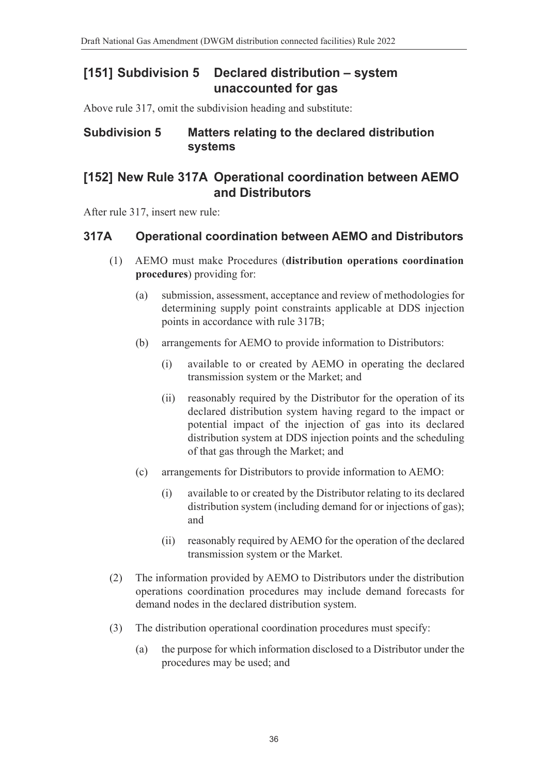### **[151] Subdivision 5 Declared distribution – system unaccounted for gas**

Above rule 317, omit the subdivision heading and substitute:

#### **Subdivision 5 Matters relating to the declared distribution systems**

### **[152] New Rule 317A Operational coordination between AEMO and Distributors**

After rule 317, insert new rule:

### **317A Operational coordination between AEMO and Distributors**

- (1) AEMO must make Procedures (**distribution operations coordination procedures**) providing for:
	- (a) submission, assessment, acceptance and review of methodologies for determining supply point constraints applicable at DDS injection points in accordance with rule 317B;
	- (b) arrangements for AEMO to provide information to Distributors:
		- (i) available to or created by AEMO in operating the declared transmission system or the Market; and
		- (ii) reasonably required by the Distributor for the operation of its declared distribution system having regard to the impact or potential impact of the injection of gas into its declared distribution system at DDS injection points and the scheduling of that gas through the Market; and
	- (c) arrangements for Distributors to provide information to AEMO:
		- (i) available to or created by the Distributor relating to its declared distribution system (including demand for or injections of gas); and
		- (ii) reasonably required by AEMO for the operation of the declared transmission system or the Market.
- (2) The information provided by AEMO to Distributors under the distribution operations coordination procedures may include demand forecasts for demand nodes in the declared distribution system.
- (3) The distribution operational coordination procedures must specify:
	- (a) the purpose for which information disclosed to a Distributor under the procedures may be used; and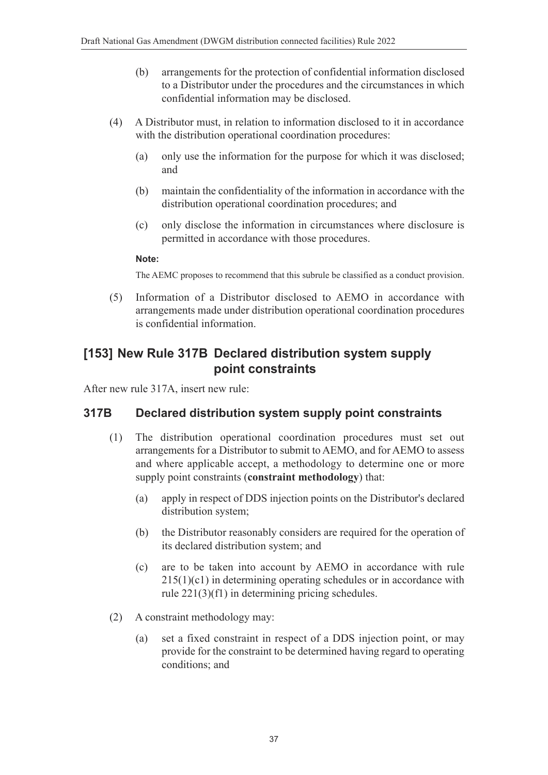- (b) arrangements for the protection of confidential information disclosed to a Distributor under the procedures and the circumstances in which confidential information may be disclosed.
- (4) A Distributor must, in relation to information disclosed to it in accordance with the distribution operational coordination procedures:
	- (a) only use the information for the purpose for which it was disclosed; and
	- (b) maintain the confidentiality of the information in accordance with the distribution operational coordination procedures; and
	- (c) only disclose the information in circumstances where disclosure is permitted in accordance with those procedures.

#### **Note:**

The AEMC proposes to recommend that this subrule be classified as a conduct provision.

(5) Information of a Distributor disclosed to AEMO in accordance with arrangements made under distribution operational coordination procedures is confidential information.

### **[153] New Rule 317B Declared distribution system supply point constraints**

After new rule 317A, insert new rule:

#### **317B Declared distribution system supply point constraints**

- (1) The distribution operational coordination procedures must set out arrangements for a Distributor to submit to AEMO, and for AEMO to assess and where applicable accept, a methodology to determine one or more supply point constraints (**constraint methodology**) that:
	- (a) apply in respect of DDS injection points on the Distributor's declared distribution system;
	- (b) the Distributor reasonably considers are required for the operation of its declared distribution system; and
	- (c) are to be taken into account by AEMO in accordance with rule  $215(1)(c1)$  in determining operating schedules or in accordance with rule 221(3)(f1) in determining pricing schedules.
- (2) A constraint methodology may:
	- (a) set a fixed constraint in respect of a DDS injection point, or may provide for the constraint to be determined having regard to operating conditions; and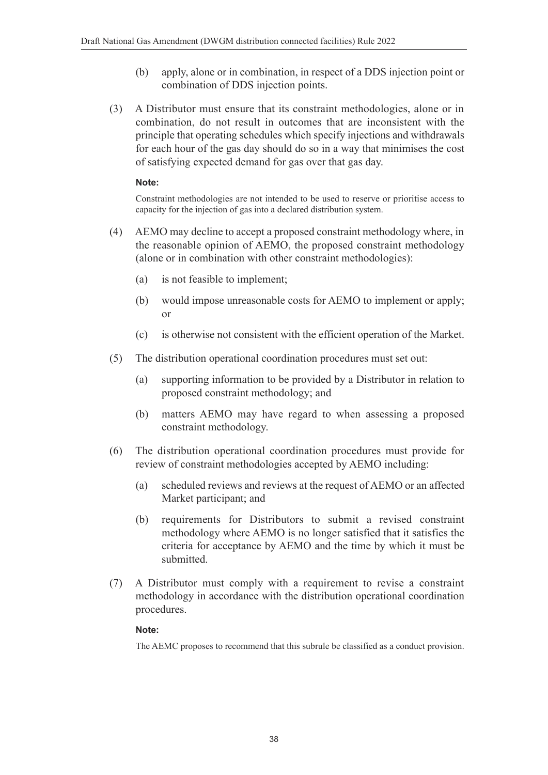- (b) apply, alone or in combination, in respect of a DDS injection point or combination of DDS injection points.
- (3) A Distributor must ensure that its constraint methodologies, alone or in combination, do not result in outcomes that are inconsistent with the principle that operating schedules which specify injections and withdrawals for each hour of the gas day should do so in a way that minimises the cost of satisfying expected demand for gas over that gas day.

#### **Note:**

Constraint methodologies are not intended to be used to reserve or prioritise access to capacity for the injection of gas into a declared distribution system.

- (4) AEMO may decline to accept a proposed constraint methodology where, in the reasonable opinion of AEMO, the proposed constraint methodology (alone or in combination with other constraint methodologies):
	- (a) is not feasible to implement;
	- (b) would impose unreasonable costs for AEMO to implement or apply; or
	- (c) is otherwise not consistent with the efficient operation of the Market.
- (5) The distribution operational coordination procedures must set out:
	- (a) supporting information to be provided by a Distributor in relation to proposed constraint methodology; and
	- (b) matters AEMO may have regard to when assessing a proposed constraint methodology.
- (6) The distribution operational coordination procedures must provide for review of constraint methodologies accepted by AEMO including:
	- (a) scheduled reviews and reviews at the request of AEMO or an affected Market participant; and
	- (b) requirements for Distributors to submit a revised constraint methodology where AEMO is no longer satisfied that it satisfies the criteria for acceptance by AEMO and the time by which it must be submitted.
- (7) A Distributor must comply with a requirement to revise a constraint methodology in accordance with the distribution operational coordination procedures.

#### **Note:**

The AEMC proposes to recommend that this subrule be classified as a conduct provision.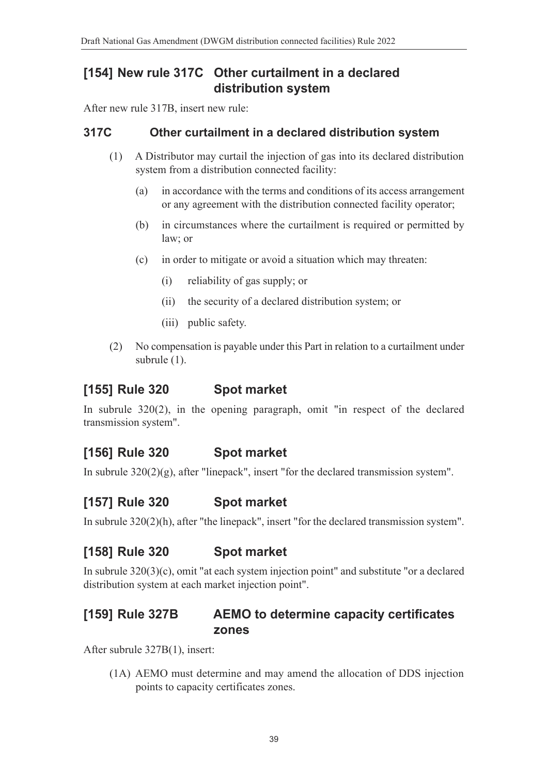### **[154] New rule 317C Other curtailment in a declared distribution system**

After new rule 317B, insert new rule:

### **317C Other curtailment in a declared distribution system**

- (1) A Distributor may curtail the injection of gas into its declared distribution system from a distribution connected facility:
	- (a) in accordance with the terms and conditions of its access arrangement or any agreement with the distribution connected facility operator;
	- (b) in circumstances where the curtailment is required or permitted by law; or
	- (c) in order to mitigate or avoid a situation which may threaten:
		- (i) reliability of gas supply; or
		- (ii) the security of a declared distribution system; or
		- (iii) public safety.
- (2) No compensation is payable under this Part in relation to a curtailment under subrule (1).

### **[155] Rule 320 Spot market**

In subrule 320(2), in the opening paragraph, omit "in respect of the declared transmission system".

# **[156] Rule 320 Spot market**

In subrule  $320(2)(g)$ , after "linepack", insert "for the declared transmission system".

### **[157] Rule 320 Spot market**

In subrule 320(2)(h), after "the linepack", insert "for the declared transmission system".

# **[158] Rule 320 Spot market**

In subrule 320(3)(c), omit "at each system injection point" and substitute "or a declared distribution system at each market injection point".

### **[159] Rule 327B AEMO to determine capacity certificates zones**

After subrule 327B(1), insert:

(1A) AEMO must determine and may amend the allocation of DDS injection points to capacity certificates zones.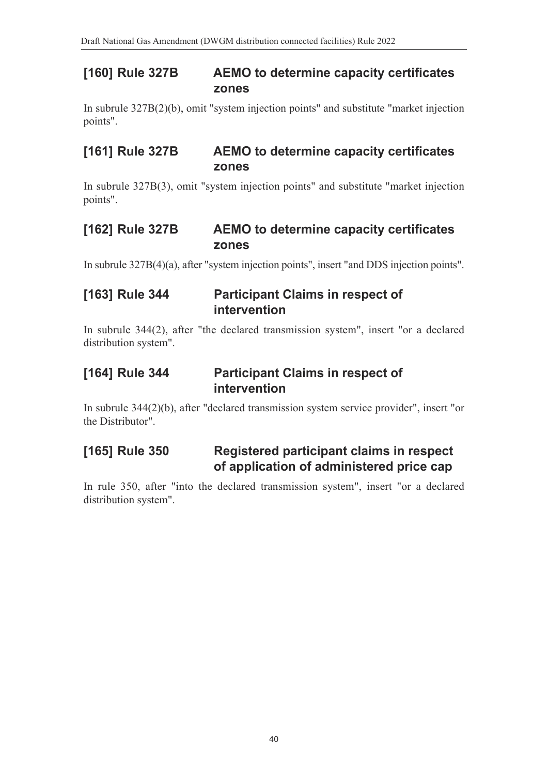### **[160] Rule 327B AEMO to determine capacity certificates zones**

In subrule 327B(2)(b), omit "system injection points" and substitute "market injection points".

### **[161] Rule 327B AEMO to determine capacity certificates zones**

In subrule 327B(3), omit "system injection points" and substitute "market injection points".

### **[162] Rule 327B AEMO to determine capacity certificates zones**

In subrule 327B(4)(a), after "system injection points", insert "and DDS injection points".

### **[163] Rule 344 Participant Claims in respect of intervention**

In subrule 344(2), after "the declared transmission system", insert "or a declared distribution system".

### **[164] Rule 344 Participant Claims in respect of intervention**

In subrule 344(2)(b), after "declared transmission system service provider", insert "or the Distributor".

### **[165] Rule 350 Registered participant claims in respect of application of administered price cap**

In rule 350, after "into the declared transmission system", insert "or a declared distribution system".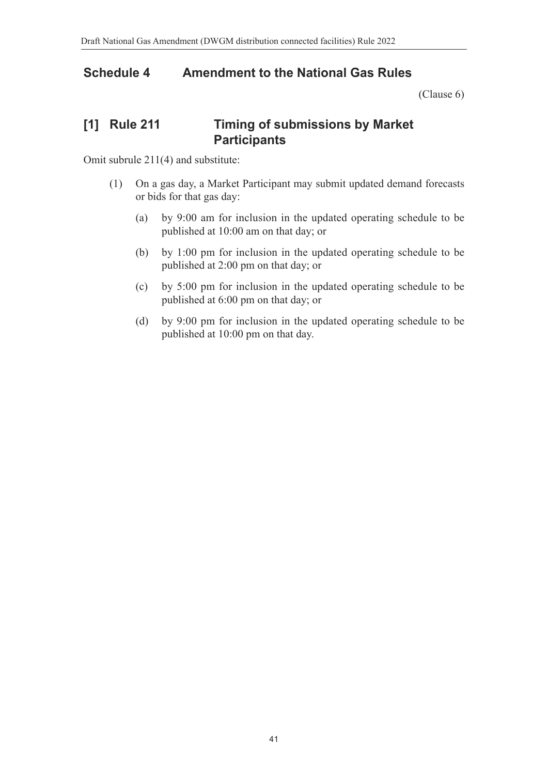### **Schedule 4 Amendment to the National Gas Rules**

<span id="page-40-0"></span>[\(Clause 6\)](#page-1-3) 

### **[1] Rule 211 Timing of submissions by Market Participants**

Omit subrule 211(4) and substitute:

- (1) On a gas day, a Market Participant may submit updated demand forecasts or bids for that gas day:
	- (a) by 9:00 am for inclusion in the updated operating schedule to be published at 10:00 am on that day; or
	- (b) by 1:00 pm for inclusion in the updated operating schedule to be published at 2:00 pm on that day; or
	- (c) by 5:00 pm for inclusion in the updated operating schedule to be published at 6:00 pm on that day; or
	- (d) by 9:00 pm for inclusion in the updated operating schedule to be published at 10:00 pm on that day.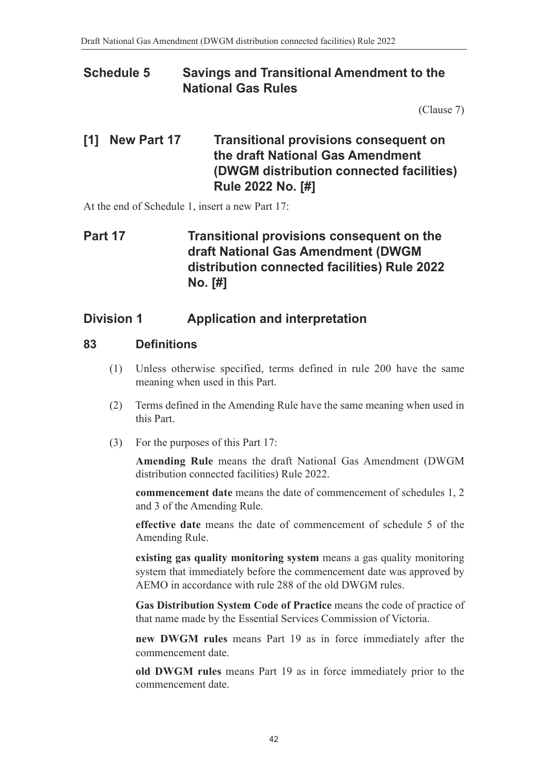### **Schedule 5 Savings and Transitional Amendment to the National Gas Rules**

<span id="page-41-0"></span>[\(Clause 7\)](#page-1-4) 

### **[1] New Part 17 Transitional provisions consequent on the draft National Gas Amendment (DWGM distribution connected facilities) Rule 2022 No. [#]**

At the end of Schedule 1, insert a new Part 17:

### **Part 17 Transitional provisions consequent on the draft National Gas Amendment (DWGM distribution connected facilities) Rule 2022 No. [#]**

### **Division 1 Application and interpretation**

#### **83 Definitions**

- (1) Unless otherwise specified, terms defined in rule 200 have the same meaning when used in this Part.
- (2) Terms defined in the Amending Rule have the same meaning when used in this Part.
- (3) For the purposes of this Part 17:

**Amending Rule** means the draft National Gas Amendment (DWGM distribution connected facilities) Rule 2022.

**commencement date** means the date of commencement of schedules 1, 2 and 3 of the Amending Rule.

**effective date** means the date of commencement of schedule 5 of the Amending Rule.

**existing gas quality monitoring system** means a gas quality monitoring system that immediately before the commencement date was approved by AEMO in accordance with rule 288 of the old DWGM rules.

**Gas Distribution System Code of Practice** means the code of practice of that name made by the Essential Services Commission of Victoria.

**new DWGM rules** means Part 19 as in force immediately after the commencement date.

**old DWGM rules** means Part 19 as in force immediately prior to the commencement date.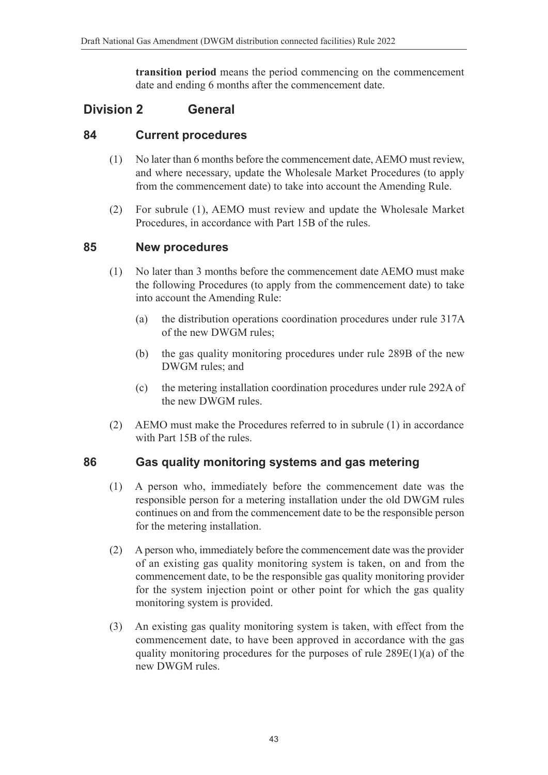**transition period** means the period commencing on the commencement date and ending 6 months after the commencement date.

### **Division 2 General**

#### **84 Current procedures**

- (1) No later than 6 months before the commencement date, AEMO must review, and where necessary, update the Wholesale Market Procedures (to apply from the commencement date) to take into account the Amending Rule.
- (2) For subrule (1), AEMO must review and update the Wholesale Market Procedures, in accordance with Part 15B of the rules.

#### **85 New procedures**

- (1) No later than 3 months before the commencement date AEMO must make the following Procedures (to apply from the commencement date) to take into account the Amending Rule:
	- (a) the distribution operations coordination procedures under rule 317A of the new DWGM rules;
	- (b) the gas quality monitoring procedures under rule 289B of the new DWGM rules; and
	- (c) the metering installation coordination procedures under rule 292A of the new DWGM rules.
- (2) AEMO must make the Procedures referred to in subrule (1) in accordance with Part 15B of the rules.

#### **86 Gas quality monitoring systems and gas metering**

- (1) A person who, immediately before the commencement date was the responsible person for a metering installation under the old DWGM rules continues on and from the commencement date to be the responsible person for the metering installation.
- (2) A person who, immediately before the commencement date was the provider of an existing gas quality monitoring system is taken, on and from the commencement date, to be the responsible gas quality monitoring provider for the system injection point or other point for which the gas quality monitoring system is provided.
- (3) An existing gas quality monitoring system is taken, with effect from the commencement date, to have been approved in accordance with the gas quality monitoring procedures for the purposes of rule  $289E(1)(a)$  of the new DWGM rules.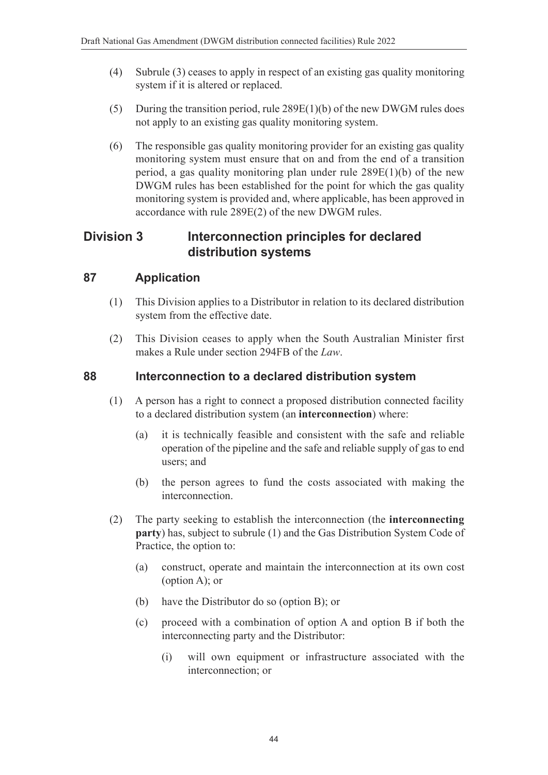- (4) Subrule (3) ceases to apply in respect of an existing gas quality monitoring system if it is altered or replaced.
- (5) During the transition period, rule 289E(1)(b) of the new DWGM rules does not apply to an existing gas quality monitoring system.
- (6) The responsible gas quality monitoring provider for an existing gas quality monitoring system must ensure that on and from the end of a transition period, a gas quality monitoring plan under rule 289E(1)(b) of the new DWGM rules has been established for the point for which the gas quality monitoring system is provided and, where applicable, has been approved in accordance with rule 289E(2) of the new DWGM rules.

### **Division 3 Interconnection principles for declared distribution systems**

#### **87 Application**

- (1) This Division applies to a Distributor in relation to its declared distribution system from the effective date.
- (2) This Division ceases to apply when the South Australian Minister first makes a Rule under section 294FB of the *Law*.

#### **88 Interconnection to a declared distribution system**

- (1) A person has a right to connect a proposed distribution connected facility to a declared distribution system (an **interconnection**) where:
	- (a) it is technically feasible and consistent with the safe and reliable operation of the pipeline and the safe and reliable supply of gas to end users; and
	- (b) the person agrees to fund the costs associated with making the interconnection.
- (2) The party seeking to establish the interconnection (the **interconnecting party**) has, subject to subrule (1) and the Gas Distribution System Code of Practice, the option to:
	- (a) construct, operate and maintain the interconnection at its own cost (option A); or
	- (b) have the Distributor do so (option B); or
	- (c) proceed with a combination of option A and option B if both the interconnecting party and the Distributor:
		- (i) will own equipment or infrastructure associated with the interconnection; or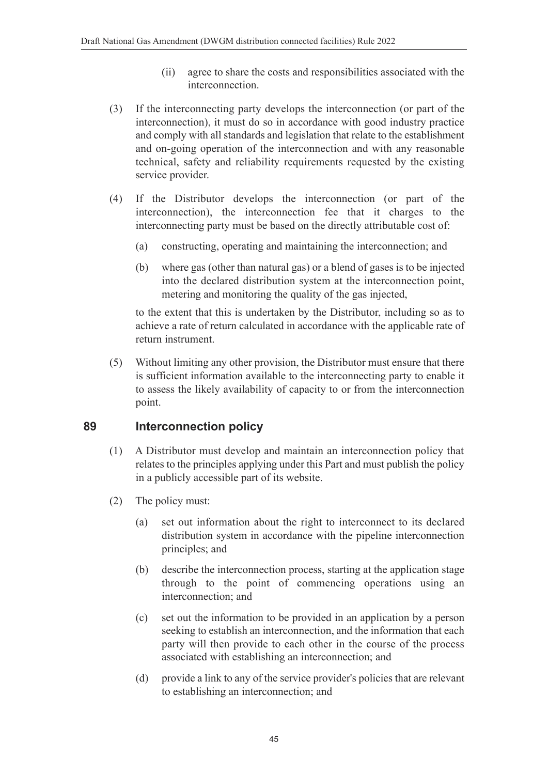- (ii) agree to share the costs and responsibilities associated with the interconnection.
- (3) If the interconnecting party develops the interconnection (or part of the interconnection), it must do so in accordance with good industry practice and comply with all standards and legislation that relate to the establishment and on-going operation of the interconnection and with any reasonable technical, safety and reliability requirements requested by the existing service provider.
- (4) If the Distributor develops the interconnection (or part of the interconnection), the interconnection fee that it charges to the interconnecting party must be based on the directly attributable cost of:
	- (a) constructing, operating and maintaining the interconnection; and
	- (b) where gas (other than natural gas) or a blend of gases is to be injected into the declared distribution system at the interconnection point, metering and monitoring the quality of the gas injected,

to the extent that this is undertaken by the Distributor, including so as to achieve a rate of return calculated in accordance with the applicable rate of return instrument.

(5) Without limiting any other provision, the Distributor must ensure that there is sufficient information available to the interconnecting party to enable it to assess the likely availability of capacity to or from the interconnection point.

#### **89 Interconnection policy**

- (1) A Distributor must develop and maintain an interconnection policy that relates to the principles applying under this Part and must publish the policy in a publicly accessible part of its website.
- (2) The policy must:
	- (a) set out information about the right to interconnect to its declared distribution system in accordance with the pipeline interconnection principles; and
	- (b) describe the interconnection process, starting at the application stage through to the point of commencing operations using an interconnection; and
	- (c) set out the information to be provided in an application by a person seeking to establish an interconnection, and the information that each party will then provide to each other in the course of the process associated with establishing an interconnection; and
	- (d) provide a link to any of the service provider's policies that are relevant to establishing an interconnection; and